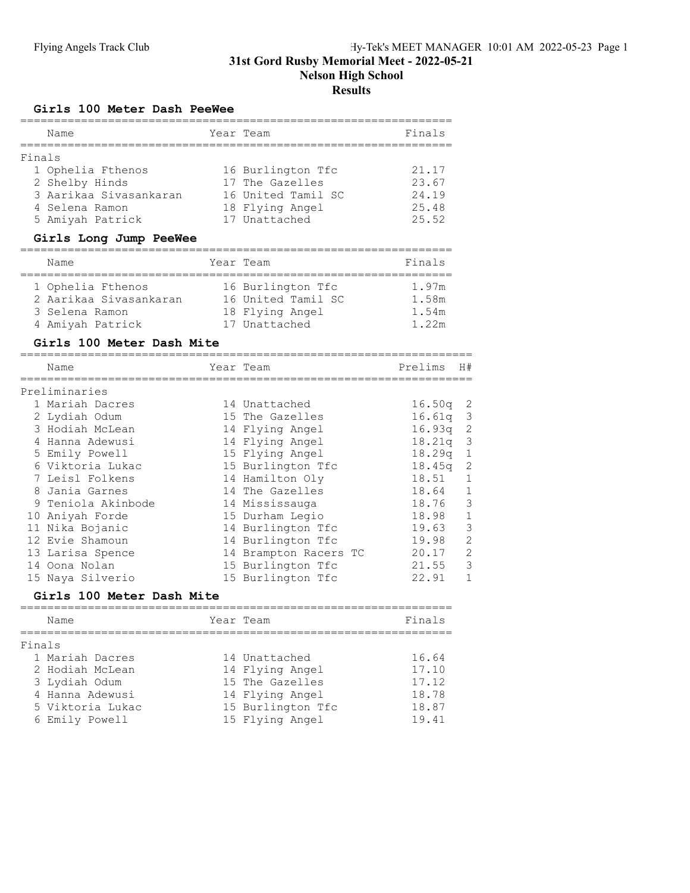# Flying Angels Track Club Hy-Tek's MEET MANAGER 10:01 AM 2022-05-23 Page 1 31st Gord Rusby Memorial Meet - 2022-05-21 Nelson High School **Results**

#### Girls 100 Meter Dash PeeWee

|        | Name                   | Year Team          | Finals |
|--------|------------------------|--------------------|--------|
| Finals |                        |                    |        |
|        | 1 Ophelia Fthenos      | 16 Burlington Tfc  | 21.17  |
|        | 2 Shelby Hinds         | 17 The Gazelles    | 23.67  |
|        | 3 Aarikaa Sivasankaran | 16 United Tamil SC | 24.19  |
|        | 4 Selena Ramon         | 18 Flying Angel    | 25.48  |
|        | 5 Amiyah Patrick       | 17 Unattached      | 25.52  |

#### Girls Long Jump PeeWee

| Name                   | Year Team          | Finals |
|------------------------|--------------------|--------|
|                        |                    |        |
| 1 Ophelia Fthenos      | 16 Burlington Tfc  | 1.97m  |
| 2 Aarikaa Sivasankaran | 16 United Tamil SC | 1.58m  |
| 3 Selena Ramon         | 18 Flying Angel    | 1.54m  |
| 4 Amiyah Patrick       | 17 Unattached      | 1.22m  |

#### Girls 100 Meter Dash Mite

| Name               | Year Team             | Prelims | H#             |
|--------------------|-----------------------|---------|----------------|
| Preliminaries      |                       |         |                |
| 1 Mariah Dacres    | 14 Unattached         | 16.50q  | -2             |
| 2 Lydiah Odum      | 15 The Gazelles       | 16.61q  | -3             |
| 3 Hodiah McLean    | 14 Flying Angel       | 16.93q  | -2             |
| 4 Hanna Adewusi    | 14 Flying Angel       | 18.21q  | 3              |
| 5 Emily Powell     | 15 Flying Angel       | 18.29q  | $\mathbf 1$    |
| 6 Viktoria Lukac   | 15 Burlington Tfc     | 18.45q  | 2              |
| 7 Leisl Folkens    | 14 Hamilton Oly       | 18.51   | 1              |
| 8 Jania Garnes     | 14 The Gazelles       | 18.64   | 1              |
| 9 Teniola Akinbode | 14 Mississauga        | 18.76   | 3              |
| 10 Aniyah Forde    | 15 Durham Legio       | 18.98   | $\mathbf{1}$   |
| 11 Nika Bojanic    | 14 Burlington Tfc     | 19.63   | 3              |
| 12 Evie Shamoun    | 14 Burlington Tfc     | 19.98   | $\overline{2}$ |
| 13 Larisa Spence   | 14 Brampton Racers TC | 20.17   | $\overline{2}$ |
| 14 Oona Nolan      | 15 Burlington Tfc     | 21.55   | 3              |
| 15 Naya Silverio   | 15 Burlington Tfc     | 22.91   |                |

#### Girls 100 Meter Dash Mite

|        | Name             | Year Team |                   | Finals |
|--------|------------------|-----------|-------------------|--------|
| Finals |                  |           |                   |        |
|        | 1 Mariah Dacres  |           | 14 Unattached     | 16.64  |
|        | 2 Hodiah McLean  |           | 14 Flying Angel   | 17.10  |
|        | 3 Lydiah Odum    |           | 15 The Gazelles   | 17.12  |
|        | 4 Hanna Adewusi  |           | 14 Flying Angel   | 18.78  |
|        | 5 Viktoria Lukac |           | 15 Burlington Tfc | 18.87  |
|        | 6 Emily Powell   |           | 15 Flying Angel   | 19.41  |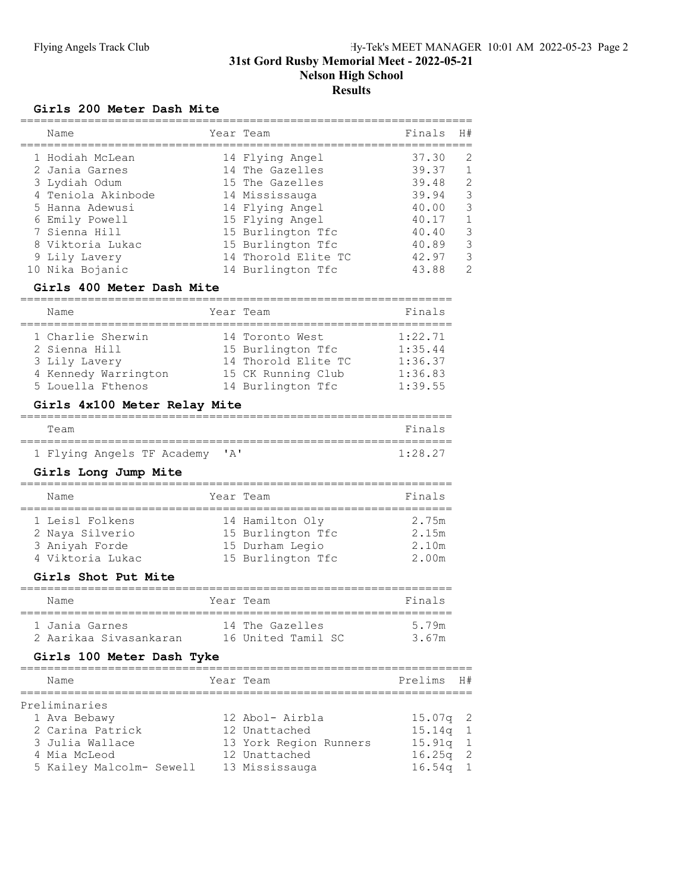## Girls 200 Meter Dash Mite

| Name                              | Year Team                                | Finals         | H#                  |
|-----------------------------------|------------------------------------------|----------------|---------------------|
| 1 Hodiah McLean                   | 14 Flying Angel<br>14 The Gazelles       | 37.30<br>39.37 | 2<br>$\overline{1}$ |
| 2 Jania Garnes<br>3 Lydiah Odum   | 15 The Gazelles                          | 39.48          | 2                   |
| 4 Teniola Akinbode                | 14 Mississauga                           | 39.94<br>40.00 | 3<br>3              |
| 5 Hanna Adewusi<br>6 Emily Powell | 14 Flying Angel<br>15 Flying Angel       | 40.17          | $\mathbf{1}$        |
| 7 Sienna Hill                     | 15 Burlington Tfc                        | 40.40          | 3                   |
| 8 Viktoria Lukac                  | 15 Burlington Tfc                        | 40.89          | 3                   |
| 9 Lily Lavery<br>10 Nika Bojanic  | 14 Thorold Elite TC<br>14 Burlington Tfc | 42.97<br>43.88 | 3<br>$\mathcal{D}$  |
|                                   |                                          |                |                     |

# Girls 400 Meter Dash Mite

| Name                                                                                             | Year Team                                                                                              | Finals                                              |
|--------------------------------------------------------------------------------------------------|--------------------------------------------------------------------------------------------------------|-----------------------------------------------------|
| 1 Charlie Sherwin<br>2 Sienna Hill<br>3 Lily Lavery<br>4 Kennedy Warrington<br>5 Louella Fthenos | 14 Toronto West<br>15 Burlington Tfc<br>14 Thorold Elite TC<br>15 CK Running Club<br>14 Burlington Tfc | 1:22.71<br>1:35.44<br>1:36.37<br>1:36.83<br>1:39.55 |

## Girls 4x100 Meter Relay Mite

| Team |  |                                |  | Finals |
|------|--|--------------------------------|--|--------|
|      |  |                                |  |        |
|      |  | 1 Flying Angels TF Academy 'A' |  | 1.2827 |

## Girls Long Jump Mite

| Name                                                                     | Year Team |                                                                              | Finals                           |
|--------------------------------------------------------------------------|-----------|------------------------------------------------------------------------------|----------------------------------|
| 1 Leisl Folkens<br>2 Nava Silverio<br>3 Anivah Forde<br>4 Viktoria Lukac |           | 14 Hamilton Oly<br>15 Burlington Tfc<br>15 Durham Legio<br>15 Burlington Tfc | 2.75m<br>2.15m<br>2.10m<br>2.00m |

#### Girls Shot Put Mite

| Name                    | Year Team          | Finals |
|-------------------------|--------------------|--------|
| 1 Jania Garnes          | 14 The Gazelles    | 5 79m  |
| -2 Aarikaa Siyasankaran | 16 United Tamil SC | 3 67m  |

#### Girls 100 Meter Dash Tyke

| Name                     | Year Team              | Prelims H# |  |
|--------------------------|------------------------|------------|--|
| Preliminaries            |                        |            |  |
| 1 Ava Bebawy             | 12 Abol- Airbla        | $15.07q$ 2 |  |
| 2 Carina Patrick         | 12 Unattached          | $15.14q$ 1 |  |
| 3 Julia Wallace          | 13 York Region Runners | $15.91q$ 1 |  |
| 4 Mia McLeod             | 12 Unattached          | $16.25q$ 2 |  |
| 5 Kailey Malcolm- Sewell | 13 Mississauga         | $16.54q$ 1 |  |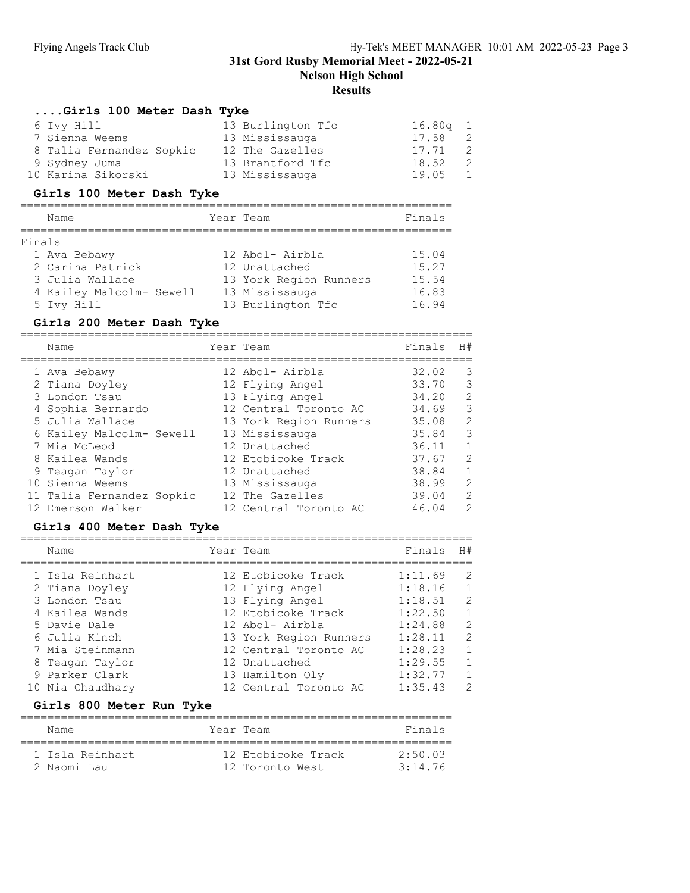Nelson High School

# **Results**

## ....Girls 100 Meter Dash Tyke

| 6 Ivy Hill               | 13 Burlington Tfc | $16.80q$ 1 |     |
|--------------------------|-------------------|------------|-----|
| 7 Sienna Weems           | 13 Mississauga    | 17.58      | - 2 |
| 8 Talia Fernandez Sopkic | 12 The Gazelles   | 17.71 2    |     |
| 9 Sydney Juma            | 13 Brantford Tfc  | 18.52      | - 2 |
| 10 Karina Sikorski       | 13 Mississauga    | 19.05      | 1   |

## Girls 100 Meter Dash Tyke

| Name                     | Year Team |                        | Finals |
|--------------------------|-----------|------------------------|--------|
|                          |           |                        |        |
| Finals                   |           |                        |        |
| 1 Ava Bebawy             |           | 12 Abol- Airbla        | 15.04  |
| 2 Carina Patrick         |           | 12 Unattached          | 15.27  |
| 3 Julia Wallace          |           | 13 York Region Runners | 15.54  |
| 4 Kailey Malcolm- Sewell |           | 13 Mississauga         | 16.83  |
| 5 Ivy Hill               |           | 13 Burlington Tfc      | 16.94  |

# Girls 200 Meter Dash Tyke

|  | Name                      | Year Team              | Finals | H#             |
|--|---------------------------|------------------------|--------|----------------|
|  | 1 Ava Bebawy              | 12 Abol- Airbla        | 32.02  | 3              |
|  | 2 Tiana Doyley            | 12 Flying Angel        | 33.70  | 3              |
|  | 3 London Tsau             | 13 Flying Angel        | 34.20  | 2              |
|  | 4 Sophia Bernardo         | 12 Central Toronto AC  | 34.69  | 3              |
|  | 5 Julia Wallace           | 13 York Region Runners | 35.08  | 2              |
|  | 6 Kailey Malcolm- Sewell  | 13 Mississauga         | 35.84  | 3              |
|  | 7 Mia McLeod              | 12 Unattached          | 36.11  | $\mathbf{1}$   |
|  | 8 Kailea Wands            | 12 Etobicoke Track     | 37.67  | 2              |
|  | 9 Teagan Taylor           | 12 Unattached          | 38.84  | $\overline{1}$ |
|  | 10 Sienna Weems           | 13 Mississauga         | 38.99  | 2              |
|  | 11 Talia Fernandez Sopkic | 12 The Gazelles        | 39.04  | 2              |
|  | 12 Emerson Walker         | 12 Central Toronto AC  | 46.04  | 2              |
|  |                           |                        |        |                |

#### Girls 400 Meter Dash Tyke

| Name                                                                                                                                                          | Year Team                                                                                                                                                                                | Finals                                                                                          | H#                                                 |
|---------------------------------------------------------------------------------------------------------------------------------------------------------------|------------------------------------------------------------------------------------------------------------------------------------------------------------------------------------------|-------------------------------------------------------------------------------------------------|----------------------------------------------------|
| 1 Isla Reinhart<br>2 Tiana Doyley<br>3 London Tsau<br>4 Kailea Wands<br>5 Davie Dale<br>6 Julia Kinch<br>7 Mia Steinmann<br>8 Teagan Taylor<br>9 Parker Clark | 12 Etobicoke Track<br>12 Flying Angel<br>13 Flying Angel<br>12 Etobicoke Track<br>12 Abol- Airbla<br>13 York Region Runners<br>12 Central Toronto AC<br>12 Unattached<br>13 Hamilton Oly | 1:11.69<br>1:18.16<br>1:18.51<br>1:22.50<br>1:24.88<br>1:28.11<br>1:28.23<br>1:29.55<br>1:32.77 | 2<br>2<br>$\overline{1}$<br>2<br>2<br>$\mathbf{1}$ |
| 10 Nia Chaudhary                                                                                                                                              | 12 Central Toronto AC                                                                                                                                                                    | 1:35.43                                                                                         | 2                                                  |

## Girls 800 Meter Run Tyke

| Name |                 | Year Team          | Finals          |
|------|-----------------|--------------------|-----------------|
|      | 1 Isla Reinhart | 12 Etobicoke Track | 2.50 03         |
|      | 2 Naomi Lau     | 12 Toronto West    | $3 \cdot 14$ 76 |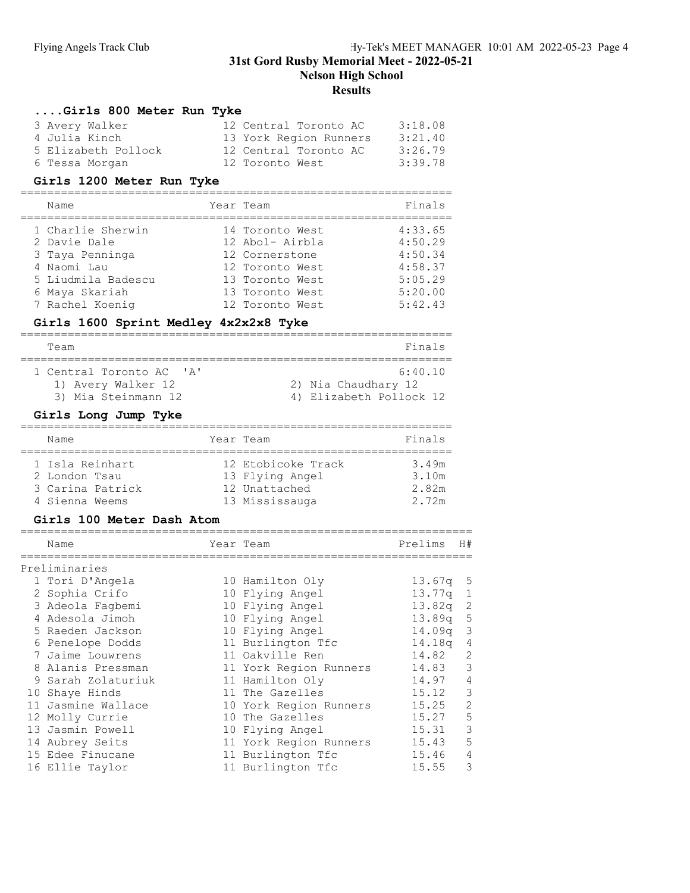# **Results**

## ....Girls 800 Meter Run Tyke

| 3 Avery Walker      | 12 Central Toronto AC  | 3:18.08 |
|---------------------|------------------------|---------|
| 4 Julia Kinch       | 13 York Region Runners | 3:21.40 |
| 5 Elizabeth Pollock | 12 Central Toronto AC  | 3:26.79 |
| 6 Tessa Morgan      | 12 Toronto West        | 3:39.78 |

## Girls 1200 Meter Run Tyke

| Name               | Year Team       | Finals  |
|--------------------|-----------------|---------|
| 1 Charlie Sherwin  | 14 Toronto West | 4:33.65 |
| 2 Davie Dale       | 12 Abol- Airbla | 4:50.29 |
| 3 Taya Penninga    | 12 Cornerstone  | 4:50.34 |
| 4 Naomi Lau        | 12 Toronto West | 4:58.37 |
| 5 Liudmila Badescu | 13 Toronto West | 5:05.29 |
| 6 Maya Skariah     | 13 Toronto West | 5:20.00 |
| 7 Rachel Koenig    | 12 Toronto West | 5:42.43 |

# Girls 1600 Sprint Medley 4x2x2x8 Tyke

| Team                                                                                                | Finals                                                    |  |  |  |  |  |
|-----------------------------------------------------------------------------------------------------|-----------------------------------------------------------|--|--|--|--|--|
| 1 Central Toronto AC<br>$\mathsf{I} \wedge \mathsf{I}$<br>1) Avery Walker 12<br>3) Mia Steinmann 12 | 6:40.10<br>2) Nia Chaudhary 12<br>4) Elizabeth Pollock 12 |  |  |  |  |  |

## Girls Long Jump Tyke

| Name             | Year Team          | Finals |
|------------------|--------------------|--------|
| 1 Isla Reinhart  | 12 Etobicoke Track | 3.49m  |
| 2 London Tsau    | 13 Flying Angel    | 3.10m  |
| 3 Carina Patrick | 12 Unattached      | 2.82m  |
| 4 Sienna Weems   | 13 Mississauga     | 2.72m  |

#### Girls 100 Meter Dash Atom

| Name               | Year Team              | Prelims            | H#             |
|--------------------|------------------------|--------------------|----------------|
| Preliminaries      |                        |                    |                |
| 1 Tori D'Angela    | 10 Hamilton Oly        | $13.67q + 5$       |                |
| 2 Sophia Crifo     | 10 Flying Angel        | 13.77a             | 1              |
| 3 Adeola Faqbemi   | 10 Flying Angel        | 13.82q             | -2             |
| 4 Adesola Jimoh    | 10 Flying Angel        | 13.89 <sub>q</sub> | 5              |
| 5 Raeden Jackson   | 10 Flying Angel        | 14.09 <sub>q</sub> | -3             |
| 6 Penelope Dodds   | 11 Burlington Tfc      | 14.18a             | 4              |
| 7 Jaime Louwrens   | 11 Oakville Ren        | 14.82              | 2              |
| 8 Alanis Pressman  | 11 York Region Runners | 14.83              | 3              |
| 9 Sarah Zolaturiuk | 11 Hamilton Oly        | 14.97              | $\overline{4}$ |
| 10 Shaye Hinds     | 11 The Gazelles        | 15.12              | 3              |
| 11 Jasmine Wallace | 10 York Region Runners | 15.25              | 2              |
| 12 Molly Currie    | 10 The Gazelles        | 15.27              | 5              |
| 13 Jasmin Powell   | 10 Flying Angel        | 15.31              | 3              |
| 14 Aubrey Seits    | 11 York Region Runners | 15.43              | 5              |
| 15 Edee Finucane   | 11 Burlington Tfc      | 15.46              | 4              |
| 16 Ellie Taylor    | 11 Burlington Tfc      | 15.55              | 3              |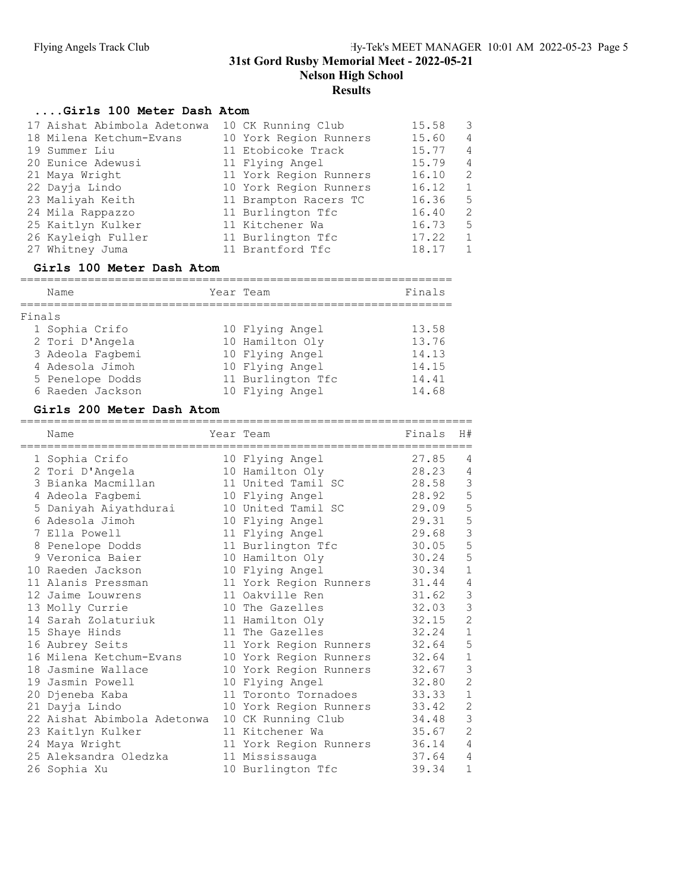# ....Girls 100 Meter Dash Atom

| 17 Aishat Abimbola Adetonwa | 10 CK Running Club     | 15.58 | 3              |
|-----------------------------|------------------------|-------|----------------|
| 18 Milena Ketchum-Evans     | 10 York Region Runners | 15.60 | $\overline{4}$ |
| 19 Summer Liu               | 11 Etobicoke Track     | 15.77 | $\overline{4}$ |
| 20 Eunice Adewusi           | 11 Flying Angel        | 15.79 | $\overline{4}$ |
| 21 Maya Wright              | 11 York Region Runners | 16.10 | 2              |
| 22 Dayja Lindo              | 10 York Region Runners | 16.12 | $\overline{1}$ |
| 23 Maliyah Keith            | 11 Brampton Racers TC  | 16.36 | -5             |
| 24 Mila Rappazzo            | 11 Burlington Tfc      | 16.40 | 2              |
| 25 Kaitlyn Kulker           | 11 Kitchener Wa        | 16.73 | -5             |
| 26 Kayleigh Fuller          | 11 Burlington Tfc      | 17.22 | $\overline{1}$ |
| 27 Whitney Juma             | 11 Brantford Tfc       | 18.17 | $\mathbf{1}$   |
|                             |                        |       |                |

# Girls 100 Meter Dash Atom

|        | Name             | Year Team |                   | Finals |
|--------|------------------|-----------|-------------------|--------|
| Finals |                  |           |                   |        |
|        | 1 Sophia Crifo   |           | 10 Flying Angel   | 13.58  |
|        | 2 Tori D'Angela  |           | 10 Hamilton Oly   | 13.76  |
|        | 3 Adeola Fagbemi |           | 10 Flying Angel   | 14.13  |
|        | 4 Adesola Jimoh  |           | 10 Flying Angel   | 14.15  |
|        | 5 Penelope Dodds |           | 11 Burlington Tfc | 14.41  |
|        | 6 Raeden Jackson |           | 10 Flying Angel   | 14.68  |

## Girls 200 Meter Dash Atom

| Name<br>------------------  | Year Team<br>====================== | Finals | H#             |
|-----------------------------|-------------------------------------|--------|----------------|
| 1 Sophia Crifo              | 10 Flying Angel                     | 27.85  | 4              |
| 2 Tori D'Angela             | 10 Hamilton Oly                     | 28.23  | 4              |
| 3 Bianka Macmillan          | 11 United Tamil SC                  | 28.58  | $\mathsf 3$    |
| 4 Adeola Faqbemi            | 10 Flying Angel                     | 28.92  | 5              |
| 5 Daniyah Aiyathdurai       | 10 United Tamil SC                  | 29.09  | 5              |
| 6 Adesola Jimoh             | 10 Flying Angel                     | 29.31  | 5              |
| 7 Ella Powell               | 11 Flying Angel                     | 29.68  | $\mathfrak{Z}$ |
| 8 Penelope Dodds            | 11 Burlington Tfc                   | 30.05  | 5              |
| 9 Veronica Baier            | 10 Hamilton Oly                     | 30.24  | 5              |
| 10 Raeden Jackson           | 10 Flying Angel                     | 30.34  | $\mathbf{1}$   |
| 11 Alanis Pressman          | 11 York Region Runners              | 31.44  | 4              |
| 12 Jaime Louwrens           | 11 Oakville Ren                     | 31.62  | $\mathcal{S}$  |
| 13 Molly Currie             | 10 The Gazelles                     | 32.03  | 3              |
| 14 Sarah Zolaturiuk         | 11 Hamilton Oly                     | 32.15  | $\overline{2}$ |
| 15 Shaye Hinds              | 11 The Gazelles                     | 32.24  | $1\,$          |
| 16 Aubrey Seits             | 11 York Region Runners              | 32.64  | 5              |
| 16 Milena Ketchum-Evans     | 10 York Region Runners              | 32.64  | $\mathbf{1}$   |
| 18 Jasmine Wallace          | 10 York Region Runners              | 32.67  | 3              |
| 19 Jasmin Powell            | 10 Flying Angel                     | 32.80  | $\overline{2}$ |
| 20 Djeneba Kaba             | 11 Toronto Tornadoes                | 33.33  | $\mathbf 1$    |
| 21 Dayja Lindo              | 10 York Region Runners              | 33.42  | $\overline{c}$ |
| 22 Aishat Abimbola Adetonwa | 10 CK Running Club                  | 34.48  | 3              |
| 23 Kaitlyn Kulker           | 11 Kitchener Wa                     | 35.67  | $\overline{c}$ |
| 24 Maya Wright              | 11 York Region Runners              | 36.14  | 4              |
| 25 Aleksandra Oledzka       | 11 Mississauga                      | 37.64  | 4              |
| 26 Sophia Xu                | 10 Burlington Tfc                   | 39.34  | $\mathbf{1}$   |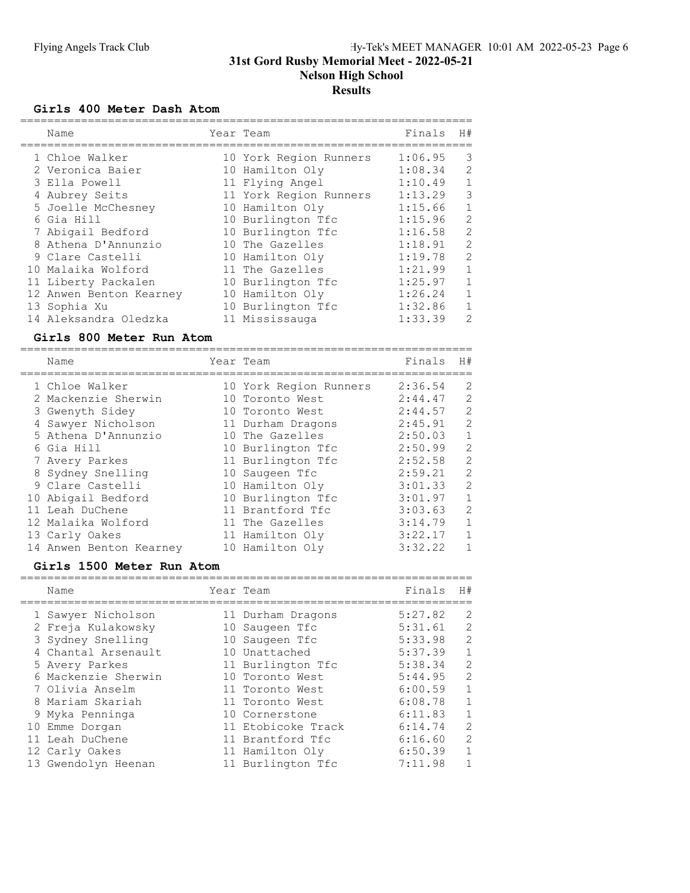#### Girls 400 Meter Dash Atom

| Name                    |  | Finals                                                                                                                                                                                                                                                                                                   | H#           |
|-------------------------|--|----------------------------------------------------------------------------------------------------------------------------------------------------------------------------------------------------------------------------------------------------------------------------------------------------------|--------------|
| 1 Chloe Walker          |  | 1:06.95                                                                                                                                                                                                                                                                                                  | 3            |
| 2 Veronica Baier        |  | 1:08.34                                                                                                                                                                                                                                                                                                  | 2            |
| 3 Ella Powell           |  | 1:10.49                                                                                                                                                                                                                                                                                                  | 1            |
| 4 Aubrey Seits          |  | 1:13.29                                                                                                                                                                                                                                                                                                  | 3            |
| 5 Joelle McChesney      |  | 1:15.66                                                                                                                                                                                                                                                                                                  | $\mathbf{1}$ |
| 6 Gia Hill              |  | 1:15.96                                                                                                                                                                                                                                                                                                  | 2            |
| 7 Abigail Bedford       |  | 1:16.58                                                                                                                                                                                                                                                                                                  | 2            |
| 8 Athena D'Annunzio     |  | 1:18.91                                                                                                                                                                                                                                                                                                  | 2            |
| 9 Clare Castelli        |  | 1:19.78                                                                                                                                                                                                                                                                                                  | 2            |
| 10 Malaika Wolford      |  | 1:21.99                                                                                                                                                                                                                                                                                                  | $\mathbf{1}$ |
| 11 Liberty Packalen     |  | 1:25.97                                                                                                                                                                                                                                                                                                  | $\mathbf{1}$ |
| 12 Anwen Benton Kearney |  | 1:26.24                                                                                                                                                                                                                                                                                                  | $\mathbf{1}$ |
| 13 Sophia Xu            |  | 1:32.86                                                                                                                                                                                                                                                                                                  | $\mathbf{1}$ |
| 14 Aleksandra Oledzka   |  | 1:33.39                                                                                                                                                                                                                                                                                                  | 2            |
|                         |  | Year Team<br>10 York Region Runners<br>10 Hamilton Oly<br>11 Flying Angel<br>11 York Region Runners<br>10 Hamilton Oly<br>10 Burlington Tfc<br>10 Burlington Tfc<br>10 The Gazelles<br>10 Hamilton Oly<br>11 The Gazelles<br>10 Burlington Tfc<br>10 Hamilton Oly<br>10 Burlington Tfc<br>11 Mississauga |              |

#### Girls 800 Meter Run Atom

| Name                    | Year Team              | Finals  | H#           |
|-------------------------|------------------------|---------|--------------|
| 1 Chloe Walker          | 10 York Region Runners | 2:36.54 | 2            |
| 2 Mackenzie Sherwin     | 10 Toronto West        | 2:44.47 | 2            |
| 3 Gwenyth Sidey         | 10 Toronto West        | 2:44.57 | 2            |
| 4 Sawyer Nicholson      | 11 Durham Dragons      | 2:45.91 | 2            |
| 5 Athena D'Annunzio     | 10 The Gazelles        | 2:50.03 | $\mathbf{1}$ |
| 6 Gia Hill              | 10 Burlington Tfc      | 2:50.99 | 2            |
| 7 Avery Parkes          | 11 Burlington Tfc      | 2:52.58 | 2            |
| 8 Sydney Snelling       | 10 Saugeen Tfc         | 2:59.21 | 2            |
| 9 Clare Castelli        | 10 Hamilton Oly        | 3:01.33 | 2            |
| 10 Abigail Bedford      | 10 Burlington Tfc      | 3:01.97 | 1            |
| 11 Leah DuChene         | 11 Brantford Tfc       | 3:03.63 | 2            |
| 12 Malaika Wolford      | 11 The Gazelles        | 3:14.79 | $\mathbf{1}$ |
| 13 Carly Oakes          | 11 Hamilton Oly        | 3:22.17 | $\mathbf{1}$ |
| 14 Anwen Benton Kearney | 10 Hamilton Oly        | 3:32.22 | 1            |

## Girls 1500 Meter Run Atom

| Name                | Year Team          | Finals  | H#            |
|---------------------|--------------------|---------|---------------|
| 1 Sawyer Nicholson  | 11 Durham Dragons  | 5:27.82 | 2             |
| 2 Freja Kulakowsky  | 10 Saugeen Tfc     | 5:31.61 | 2             |
| 3 Sydney Snelling   | 10 Saugeen Tfc     | 5:33.98 | 2             |
| 4 Chantal Arsenault | 10 Unattached      | 5:37.39 | $\mathbf{1}$  |
| 5 Avery Parkes      | 11 Burlington Tfc  | 5:38.34 | 2             |
| 6 Mackenzie Sherwin | 10 Toronto West    | 5:44.95 | $\mathcal{L}$ |
| 7 Olivia Anselm     | 11 Toronto West    | 6:00.59 | $\mathbf{1}$  |
| 8 Mariam Skariah    | 11 Toronto West    | 6:08.78 | $\mathbf{1}$  |
| 9 Myka Penninga     | 10 Cornerstone     | 6:11.83 | $\mathbf{1}$  |
| 10 Emme Dorgan      | 11 Etobicoke Track | 6:14.74 | $\mathcal{L}$ |
| 11 Leah DuChene     | 11 Brantford Tfc   | 6:16.60 | $\mathcal{L}$ |
| 12 Carly Oakes      | 11 Hamilton Oly    | 6:50.39 | $\mathbf{1}$  |
| 13 Gwendolyn Heenan | 11 Burlington Tfc  | 7:11.98 | 1             |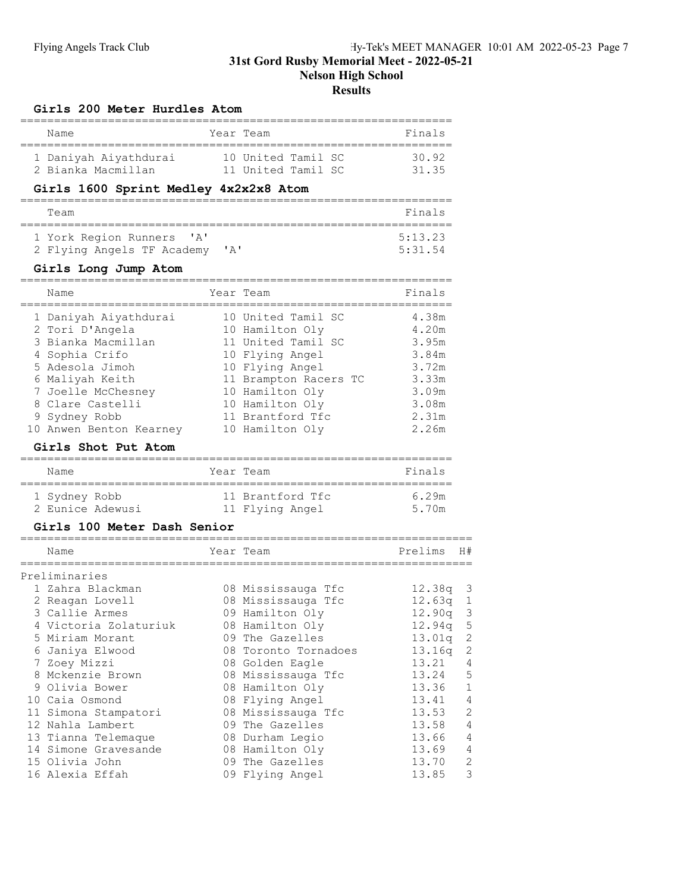## Girls 200 Meter Hurdles Atom

| Name                                                                                                                                                                                                                                                                                                                       |                           |      | Year Team                                                                                                                                                                                                                                                                                                  | Finals                                                                                                                                    |                                                                                                                                           |
|----------------------------------------------------------------------------------------------------------------------------------------------------------------------------------------------------------------------------------------------------------------------------------------------------------------------------|---------------------------|------|------------------------------------------------------------------------------------------------------------------------------------------------------------------------------------------------------------------------------------------------------------------------------------------------------------|-------------------------------------------------------------------------------------------------------------------------------------------|-------------------------------------------------------------------------------------------------------------------------------------------|
| 1 Daniyah Aiyathdurai<br>2 Bianka Macmillan                                                                                                                                                                                                                                                                                |                           |      | 10 United Tamil SC<br>11 United Tamil SC                                                                                                                                                                                                                                                                   | 30.92<br>31.35                                                                                                                            |                                                                                                                                           |
| Girls 1600 Sprint Medley 4x2x2x8 Atom                                                                                                                                                                                                                                                                                      |                           |      |                                                                                                                                                                                                                                                                                                            |                                                                                                                                           |                                                                                                                                           |
| Team                                                                                                                                                                                                                                                                                                                       |                           |      |                                                                                                                                                                                                                                                                                                            | Finals                                                                                                                                    |                                                                                                                                           |
| 1 York Region Runners<br>2 Flying Angels TF Academy                                                                                                                                                                                                                                                                        | $^{\prime}$ A $^{\prime}$ | ' A' |                                                                                                                                                                                                                                                                                                            | 5:13.23<br>5:31.54                                                                                                                        |                                                                                                                                           |
| Girls Long Jump Atom                                                                                                                                                                                                                                                                                                       |                           |      |                                                                                                                                                                                                                                                                                                            |                                                                                                                                           |                                                                                                                                           |
| Name<br>____________                                                                                                                                                                                                                                                                                                       | ---------                 |      | Year Team                                                                                                                                                                                                                                                                                                  | Finals<br>.=========                                                                                                                      |                                                                                                                                           |
| 1 Daniyah Aiyathdurai<br>2 Tori D'Angela<br>3 Bianka Macmillan<br>4 Sophia Crifo<br>5 Adesola Jimoh<br>6 Maliyah Keith<br>7 Joelle McChesney<br>8 Clare Castelli<br>9 Sydney Robb<br>10 Anwen Benton Kearney<br>Girls Shot Put Atom                                                                                        |                           |      | 10 United Tamil SC<br>10 Hamilton Oly<br>11 United Tamil SC<br>10 Flying Angel<br>10 Flying Angel<br>11 Brampton Racers TC<br>10 Hamilton Oly<br>10 Hamilton Oly<br>11 Brantford Tfc<br>10 Hamilton Oly                                                                                                    | 4.38m<br>4.20m<br>3.95m<br>3.84m<br>3.72m<br>3.33m<br>3.09m<br>3.08m<br>2.31m<br>2.26m                                                    |                                                                                                                                           |
| Name                                                                                                                                                                                                                                                                                                                       |                           |      | Year Team                                                                                                                                                                                                                                                                                                  | Finals                                                                                                                                    |                                                                                                                                           |
| 1 Sydney Robb<br>2 Eunice Adewusi<br>Girls 100 Meter Dash Senior                                                                                                                                                                                                                                                           |                           |      | 11 Brantford Tfc<br>11 Flying Angel                                                                                                                                                                                                                                                                        | 6.29m<br>5.70m                                                                                                                            |                                                                                                                                           |
| Name                                                                                                                                                                                                                                                                                                                       |                           |      | Year Team                                                                                                                                                                                                                                                                                                  | Prelims                                                                                                                                   | H#                                                                                                                                        |
| Preliminaries<br>1 Zahra Blackman<br>2 Reagan Lovell<br>3 Callie Armes<br>4 Victoria Zolaturiuk<br>5 Miriam Morant<br>6 Janiya Elwood<br>7 Zoey Mizzi<br>8 Mckenzie Brown<br>9 Olivia Bower<br>10 Caia Osmond<br>11 Simona Stampatori<br>12 Nahla Lambert<br>13 Tianna Telemaque<br>14 Simone Gravesande<br>15 Olivia John |                           |      | 08 Mississauga Tfc<br>08 Mississauga Tfc<br>09 Hamilton Oly<br>08 Hamilton Oly<br>09 The Gazelles<br>08 Toronto Tornadoes<br>08 Golden Eagle<br>08 Mississauga Tfc<br>08 Hamilton Oly<br>08 Flying Angel<br>08 Mississauga Tfc<br>09 The Gazelles<br>08 Durham Legio<br>08 Hamilton Oly<br>09 The Gazelles | 12.38q<br>12.63q<br>12.90q<br>12.94q<br>13.01q<br>13.16q<br>13.21<br>13.24<br>13.36<br>13.41<br>13.53<br>13.58<br>13.66<br>13.69<br>13.70 | 3<br>1<br>3<br>5<br>$\sqrt{2}$<br>2<br>4<br>$\mathsf S$<br>$\mathbf 1$<br>4<br>$\mathbf{2}$<br>$\overline{4}$<br>4<br>$\overline{4}$<br>2 |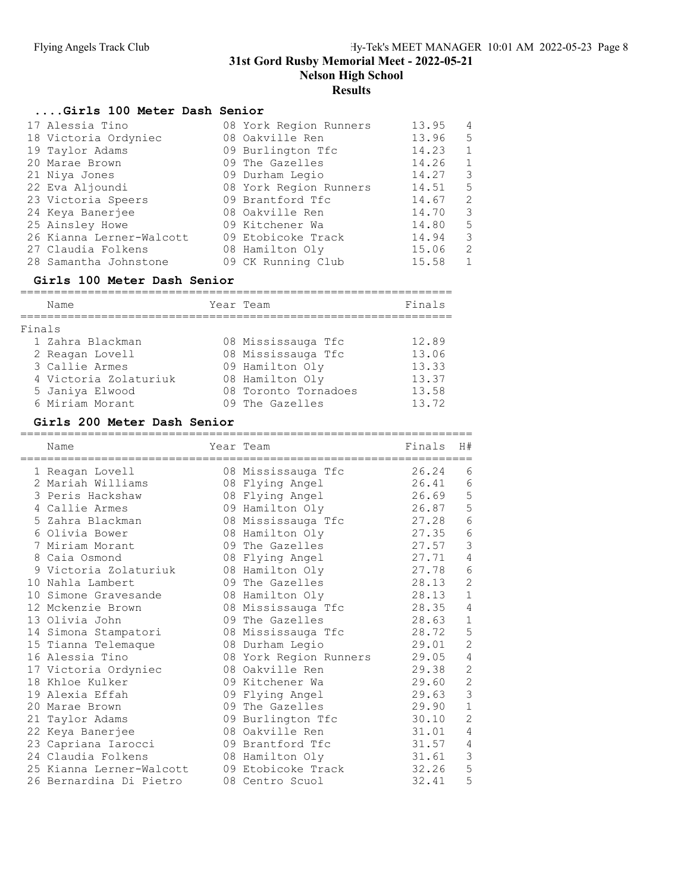# ....Girls 100 Meter Dash Senior

| 17 Alessia Tino          | 08 York Region Runners | 13.95 | $\overline{4}$ |
|--------------------------|------------------------|-------|----------------|
| 18 Victoria Ordyniec     | 08 Oakville Ren        | 13.96 | .5             |
| 19 Taylor Adams          | 09 Burlington Tfc      | 14.23 | 1              |
| 20 Marae Brown           | 09 The Gazelles        | 14.26 | 1              |
| 21 Niya Jones            | 09 Durham Legio        | 14.27 | 3              |
| 22 Eva Aljoundi          | 08 York Region Runners | 14.51 | -5             |
| 23 Victoria Speers       | 09 Brantford Tfc       | 14.67 | 2              |
| 24 Keya Banerjee         | 08 Oakville Ren        | 14.70 | 3              |
| 25 Ainsley Howe          | 09 Kitchener Wa        | 14.80 | -5             |
| 26 Kianna Lerner-Walcott | 09 Etobicoke Track     | 14.94 | 3              |
| 27 Claudia Folkens       | 08 Hamilton Oly        | 15.06 | 2              |
| 28 Samantha Johnstone    | 09 CK Running Club     | 15.58 | $\mathbf{1}$   |

# Girls 100 Meter Dash Senior

|        | Name                  | Year Team            | Finals |
|--------|-----------------------|----------------------|--------|
| Finals |                       |                      |        |
|        | 1 Zahra Blackman      | 08 Mississauga Tfc   | 12.89  |
|        | 2 Reagan Lovell       | 08 Mississauga Tfc   | 13.06  |
|        | 3 Callie Armes        | 09 Hamilton Oly      | 13.33  |
|        | 4 Victoria Zolaturiuk | 08 Hamilton Oly      | 13.37  |
|        | 5 Janiya Elwood       | 08 Toronto Tornadoes | 13.58  |
|        | 6 Miriam Morant       | 09 The Gazelles      | 13.72  |

## Girls 200 Meter Dash Senior

|    | Name<br>------------------ | Year Team<br>======================= | Finals | H#             |
|----|----------------------------|--------------------------------------|--------|----------------|
|    | 1 Reagan Lovell            | 08 Mississauga Tfc                   | 26.24  | 6              |
|    | 2 Mariah Williams          | 08 Flying Angel                      | 26.41  | 6              |
|    | 3 Peris Hackshaw           | 08 Flying Angel                      | 26.69  | 5              |
|    | 4 Callie Armes             | 09 Hamilton Oly                      | 26.87  | 5              |
|    | 5 Zahra Blackman           | 08 Mississauga Tfc                   | 27.28  | $\epsilon$     |
|    | 6 Olivia Bower             | 08 Hamilton Oly                      | 27.35  | $\epsilon$     |
|    | 7 Miriam Morant            | 09 The Gazelles                      | 27.57  | 3              |
| 8  | Caia Osmond                | 08 Flying Angel                      | 27.71  | $\overline{4}$ |
|    | 9 Victoria Zolaturiuk      | 08 Hamilton Oly                      | 27.78  | $\sqrt{6}$     |
|    | 10 Nahla Lambert           | 09 The Gazelles                      | 28.13  | $\overline{c}$ |
| 10 | Simone Gravesande          | 08 Hamilton Oly                      | 28.13  | $\mathbf{1}$   |
|    | 12 Mckenzie Brown          | 08 Mississauga Tfc                   | 28.35  | 4              |
|    | 13 Olivia John             | 09 The Gazelles                      | 28.63  | $1\,$          |
|    | 14 Simona Stampatori       | 08 Mississauga Tfc                   | 28.72  | 5              |
|    | 15 Tianna Telemaque        | 08 Durham Legio                      | 29.01  | $\overline{c}$ |
|    | 16 Alessia Tino            | 08 York Region Runners               | 29.05  | $\sqrt{4}$     |
|    | 17 Victoria Ordyniec       | 08 Oakville Ren                      | 29.38  | $\overline{c}$ |
|    | 18 Khloe Kulker            | 09 Kitchener Wa                      | 29.60  | $\overline{c}$ |
|    | 19 Alexia Effah            | 09 Flying Angel                      | 29.63  | 3              |
|    | 20 Marae Brown             | 09 The Gazelles                      | 29.90  | $\mathbf{1}$   |
| 21 | Taylor Adams               | 09 Burlington Tfc                    | 30.10  | $\overline{c}$ |
|    | 22 Keya Banerjee           | 08 Oakville Ren                      | 31.01  | 4              |
|    | 23 Capriana Iarocci        | 09 Brantford Tfc                     | 31.57  | $\overline{4}$ |
|    | 24 Claudia Folkens         | 08 Hamilton Oly                      | 31.61  | 3              |
|    | 25 Kianna Lerner-Walcott   | 09 Etobicoke Track                   | 32.26  | 5              |
|    | 26 Bernardina Di Pietro    | 08 Centro Scuol                      | 32.41  | 5              |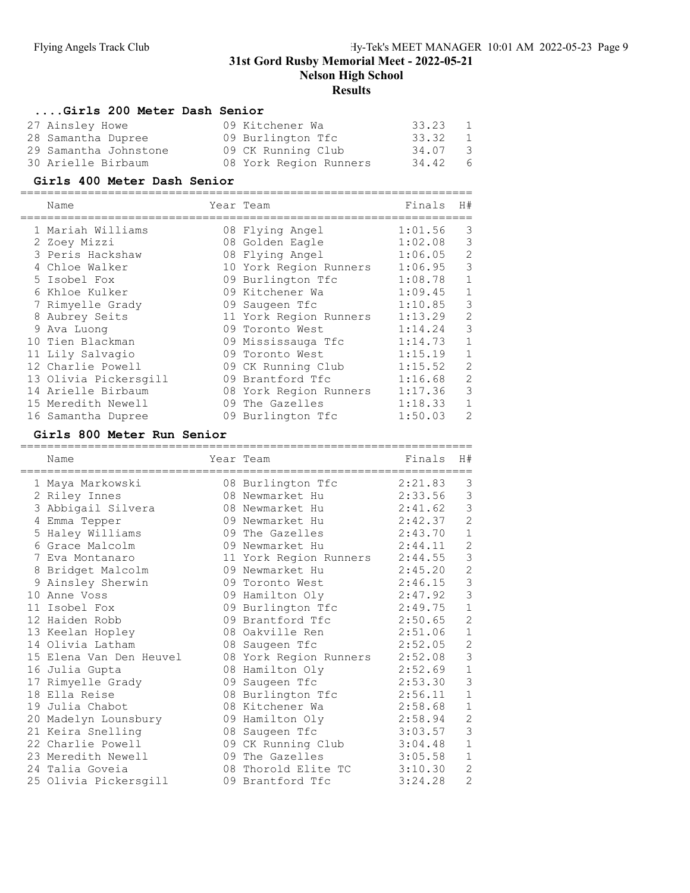Nelson High School

# **Results**

#### ....Girls 200 Meter Dash Senior

|                                                                                      | 33.23                                                                                | 1             |
|--------------------------------------------------------------------------------------|--------------------------------------------------------------------------------------|---------------|
|                                                                                      |                                                                                      | 1             |
|                                                                                      | 34.07                                                                                | $\mathcal{A}$ |
|                                                                                      | 34.42                                                                                | - 6           |
| 27 Ainsley Howe<br>28 Samantha Dupree<br>29 Samantha Johnstone<br>30 Arielle Birbaum | 09 Kitchener Wa<br>09 Burlington Tfc<br>09 CK Running Club<br>08 York Region Runners | 33.32         |

## Girls 400 Meter Dash Senior

|   | Name                  | Year Team              | Finals  | H#             |
|---|-----------------------|------------------------|---------|----------------|
|   | 1 Mariah Williams     | 08 Flying Angel        | 1:01.56 | 3              |
|   | 2 Zoey Mizzi          | 08 Golden Eagle        | 1:02.08 | 3              |
|   | 3 Peris Hackshaw      | 08 Flying Angel        | 1:06.05 | $\overline{2}$ |
|   | Chloe Walker          | 10 York Region Runners | 1:06.95 | 3              |
|   | 5 Isobel Fox          | 09 Burlington Tfc      | 1:08.78 |                |
|   | 6 Khloe Kulker        | 09 Kitchener Wa        | 1:09.45 | 1              |
|   | 7 Rimyelle Grady      | 09 Saugeen Tfc         | 1:10.85 | 3              |
| 8 | Aubrey Seits          | 11 York Region Runners | 1:13.29 | $\overline{2}$ |
|   | 9 Ava Luong           | 09 Toronto West        | 1:14.24 | 3              |
|   | 10 Tien Blackman      | 09 Mississauga Tfc     | 1:14.73 |                |
|   | 11 Lily Salvagio      | 09 Toronto West        | 1:15.19 | 1              |
|   | 12 Charlie Powell     | 09 CK Running Club     | 1:15.52 | $\overline{2}$ |
|   | 13 Olivia Pickersgill | 09 Brantford Tfc       | 1:16.68 | $\overline{2}$ |
|   | 14 Arielle Birbaum    | 08 York Region Runners | 1:17.36 | 3              |
|   | 15 Meredith Newell    | 09 The Gazelles        | 1:18.33 | 1              |
|   | 16 Samantha Dupree    | 09 Burlington Tfc      | 1:50.03 | $\overline{2}$ |

# Girls 800 Meter Run Senior

|   | Name                                  | Year Team                                     | Finals  | H#             |
|---|---------------------------------------|-----------------------------------------------|---------|----------------|
|   | -----------------<br>1 Maya Markowski | ;=======================<br>08 Burlington Tfc | 2:21.83 | 3              |
|   | 2 Riley Innes                         | 08 Newmarket Hu                               | 2:33.56 | 3              |
| 3 | Abbigail Silvera                      | 08 Newmarket Hu                               | 2:41.62 | 3              |
| 4 | Emma Tepper                           | 09 Newmarket Hu                               | 2:42.37 | $\overline{2}$ |
|   | 5 Haley Williams                      | 09 The Gazelles                               | 2:43.70 | $\mathbf{1}$   |
| 6 | Grace Malcolm                         | 09 Newmarket Hu                               | 2:44.11 | $\overline{c}$ |
|   | 7 Eva Montanaro                       | 11 York Region Runners                        | 2:44.55 | 3              |
|   | 8 Bridget Malcolm                     | 09 Newmarket Hu                               | 2:45.20 | $\overline{c}$ |
|   | 9 Ainsley Sherwin                     | 09 Toronto West                               | 2:46.15 | 3              |
|   | 10 Anne Voss                          | 09 Hamilton Oly                               | 2:47.92 | 3              |
|   | 11 Isobel Fox                         | 09 Burlington Tfc                             | 2:49.75 | $\mathbf{1}$   |
|   | 12 Haiden Robb                        | 09 Brantford Tfc                              | 2:50.65 | $\overline{c}$ |
|   | 13 Keelan Hopley                      | 08 Oakville Ren                               | 2:51.06 | $\mathbf{1}$   |
|   | 14 Olivia Latham                      | 08 Saugeen Tfc                                | 2:52.05 | $\overline{c}$ |
|   | 15 Elena Van Den Heuvel               | 08 York Region Runners                        | 2:52.08 | 3              |
|   | 16 Julia Gupta                        | 08 Hamilton Oly                               | 2:52.69 | $\mathbf{1}$   |
|   | 17 Rimyelle Grady                     | 09 Saugeen Tfc                                | 2:53.30 | 3              |
|   | 18 Ella Reise                         | 08 Burlington Tfc                             | 2:56.11 | $\mathbf{1}$   |
|   | 19 Julia Chabot                       | 08 Kitchener Wa                               | 2:58.68 | $\mathbf{1}$   |
|   | 20 Madelyn Lounsbury                  | 09 Hamilton Oly                               | 2:58.94 | $\overline{c}$ |
|   | 21 Keira Snelling                     | 08 Saugeen Tfc                                | 3:03.57 | 3              |
|   | 22 Charlie Powell                     | 09 CK Running Club                            | 3:04.48 | $\mathbf{1}$   |
|   | 23 Meredith Newell                    | 09 The Gazelles                               | 3:05.58 | $\mathbf{1}$   |
|   | 24 Talia Goveia                       | 08 Thorold Elite TC                           | 3:10.30 | $\overline{2}$ |
|   | 25 Olivia Pickersgill                 | 09 Brantford Tfc                              | 3:24.28 | $\overline{c}$ |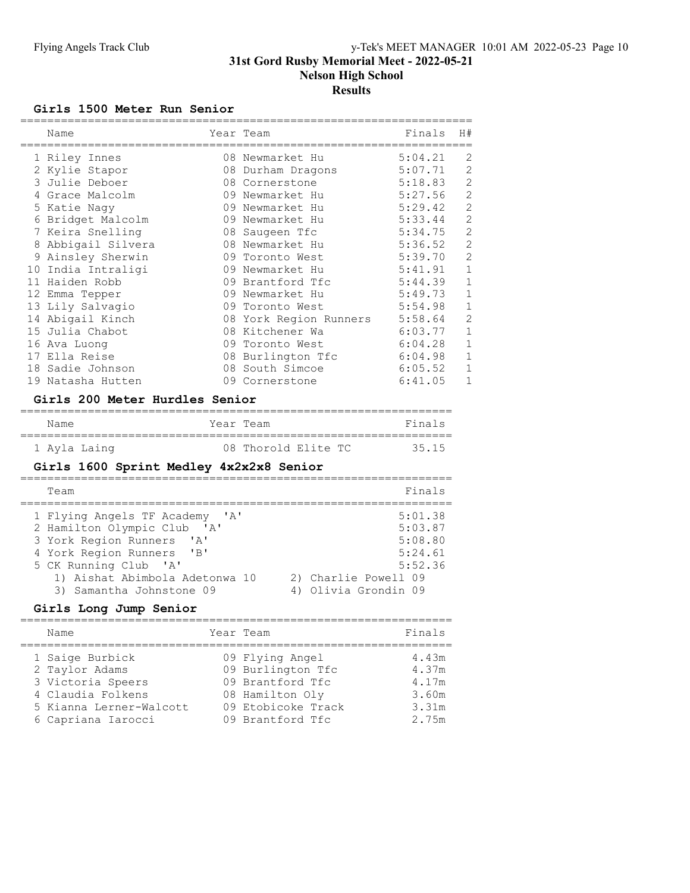#### Girls 1500 Meter Run Senior

| Name               |    | Year Team              | Finals  | H#             |
|--------------------|----|------------------------|---------|----------------|
| 1 Riley Innes      |    | 08 Newmarket Hu        | 5:04.21 | 2              |
| 2 Kylie Stapor     |    | 08 Durham Dragons      | 5:07.71 | 2              |
| 3 Julie Deboer     |    | 08 Cornerstone         | 5:18.83 | $\overline{2}$ |
| 4 Grace Malcolm    |    | 09 Newmarket Hu        | 5:27.56 | $\overline{2}$ |
| 5 Katie Naqy       |    | 09 Newmarket Hu        | 5:29.42 | $\overline{2}$ |
| Bridget Malcolm    |    | 09 Newmarket Hu        | 5:33.44 | $\overline{2}$ |
| 7 Keira Snelling   |    | 08 Saugeen Tfc         | 5:34.75 | $\overline{2}$ |
| 8 Abbigail Silvera |    | 08 Newmarket Hu        | 5:36.52 | $\overline{2}$ |
| 9 Ainsley Sherwin  |    | 09 Toronto West        | 5:39.70 | $\overline{2}$ |
| 10 India Intraligi |    | 09 Newmarket Hu        | 5:41.91 | $\mathbf 1$    |
| 11 Haiden Robb     |    | 09 Brantford Tfc       | 5:44.39 | $\mathbf 1$    |
| 12 Emma Tepper     | 09 | Newmarket Hu           | 5:49.73 | $\mathbf{1}$   |
| 13 Lily Salvagio   |    | 09 Toronto West        | 5:54.98 | $\mathbf{1}$   |
| 14 Abigail Kinch   |    | 08 York Region Runners | 5:58.64 | 2              |
| 15 Julia Chabot    |    | 08 Kitchener Wa        | 6:03.77 | $\mathbf{1}$   |
| 16 Ava Luong       | 09 | Toronto West           | 6:04.28 | $\mathbf{1}$   |
| 17 Ella Reise      |    | 08 Burlington Tfc      | 6:04.98 | $\mathbf 1$    |
| 18 Sadie Johnson   |    | 08 South Simcoe        | 6:05.52 | $\mathbf{1}$   |
| 19 Natasha Hutten  |    | 09 Cornerstone         | 6:41.05 | $\mathbf{1}$   |

#### Girls 200 Meter Hurdles Senior

| Name         | Year Team |                     | Finals |
|--------------|-----------|---------------------|--------|
| 1 Avla Laing |           | 08 Thorold Elite TC | 35.15  |

# Girls 1600 Sprint Medley 4x2x2x8 Senior

| Team                                                                                                                                                                                                                                                             | Finals                                                                                              |
|------------------------------------------------------------------------------------------------------------------------------------------------------------------------------------------------------------------------------------------------------------------|-----------------------------------------------------------------------------------------------------|
| 1 Flying Angels TF Academy 'A'<br>2 Hamilton Olympic Club<br>$\mathsf{A}$<br>3 York Region Runners<br>$\mathsf{A}$<br>4 York Region Runners<br>$^{\prime}$ B <sup>1</sup><br>5 CK Running Club 'A'<br>1) Aishat Abimbola Adetonwa 10<br>3) Samantha Johnstone 09 | 5:01.38<br>5:03.87<br>5:08.80<br>5:24.61<br>5:52.36<br>2) Charlie Powell 09<br>4) Olivia Grondin 09 |

## Girls Long Jump Senior

| Name                                                                                                                         | Year Team                                                                                                             | Finals                                             |
|------------------------------------------------------------------------------------------------------------------------------|-----------------------------------------------------------------------------------------------------------------------|----------------------------------------------------|
| 1 Saige Burbick<br>2 Taylor Adams<br>3 Victoria Speers<br>4 Claudia Folkens<br>5 Kianna Lerner-Walcott<br>6 Capriana Iarocci | 09 Flying Angel<br>09 Burlington Tfc<br>09 Brantford Tfc<br>08 Hamilton Oly<br>09 Etobicoke Track<br>09 Brantford Tfc | 4.43m<br>4.37m<br>4.17m<br>3.60m<br>3.31m<br>2.75m |
|                                                                                                                              |                                                                                                                       |                                                    |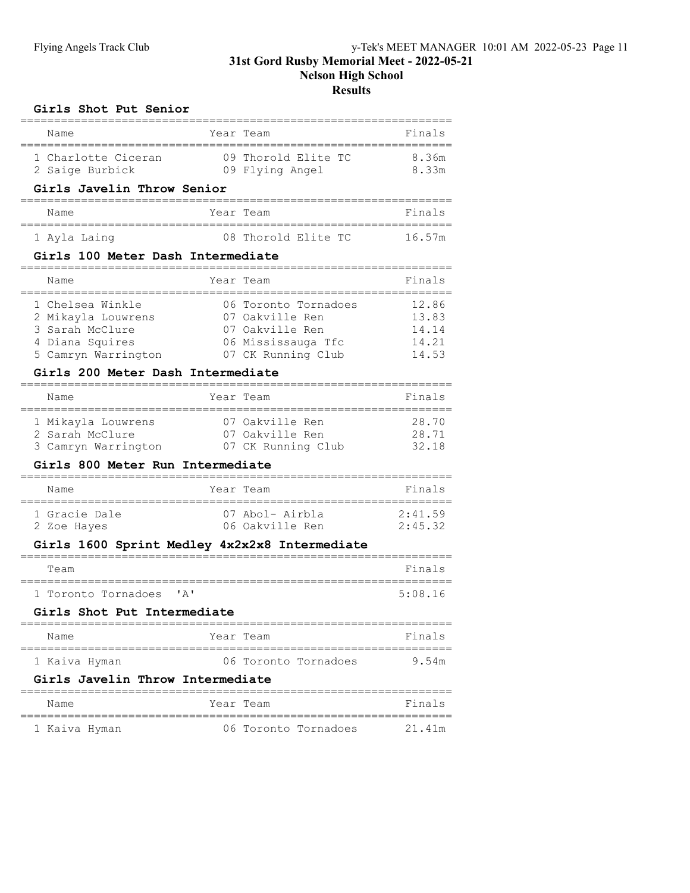## Girls Shot Put Senior

| Name                                                                                                |      | Year Team                                                                                              | Finals                                    |
|-----------------------------------------------------------------------------------------------------|------|--------------------------------------------------------------------------------------------------------|-------------------------------------------|
| 1 Charlotte Ciceran<br>2 Saige Burbick                                                              |      | 09 Thorold Elite TC<br>09 Flying Angel                                                                 | 8.36m<br>8.33m                            |
| Girls Javelin Throw Senior<br>.=======                                                              |      |                                                                                                        |                                           |
| Name<br>================                                                                            |      | Year Team                                                                                              | Finals                                    |
| 1 Ayla Laing                                                                                        |      | 08 Thorold Elite TC                                                                                    | 16.57m                                    |
| Girls 100 Meter Dash Intermediate                                                                   |      |                                                                                                        |                                           |
| Name                                                                                                |      | Year Team                                                                                              | Finals                                    |
| 1 Chelsea Winkle<br>2 Mikayla Louwrens<br>3 Sarah McClure<br>4 Diana Squires<br>5 Camryn Warrington |      | 06 Toronto Tornadoes<br>07 Oakville Ren<br>07 Oakville Ren<br>06 Mississauga Tfc<br>07 CK Running Club | 12.86<br>13.83<br>14.14<br>14.21<br>14.53 |
| Girls 200 Meter Dash Intermediate                                                                   |      |                                                                                                        |                                           |
| Name                                                                                                |      | Year Team                                                                                              | Finals                                    |
| 1 Mikayla Louwrens<br>2 Sarah McClure<br>3 Camryn Warrington<br>Girls 800 Meter Run Intermediate    |      | 07 Oakville Ren<br>07 Oakville Ren<br>07 CK Running Club                                               | 28.70<br>28.71<br>32.18                   |
| ==========================<br>Name                                                                  |      | ---------------------<br>Year Team                                                                     | Finals                                    |
| 1 Gracie Dale<br>2 Zoe Hayes                                                                        |      | 07 Abol- Airbla<br>06 Oakville Ren                                                                     | 2:41.59<br>2:45.32                        |
| Girls 1600 Sprint Medley 4x2x2x8 Intermediate                                                       |      |                                                                                                        |                                           |
| Team                                                                                                |      | ==============================                                                                         | Finals                                    |
| ---------<br>1 Toronto Tornadoes                                                                    | ' A' | =========                                                                                              | 5:08.16                                   |
| Girls Shot Put Intermediate                                                                         |      |                                                                                                        |                                           |
| Name                                                                                                |      | Year Team                                                                                              | Finals                                    |
| 1 Kaiva Hyman                                                                                       |      | 06 Toronto Tornadoes                                                                                   | 9.54m                                     |
| Girls Javelin Throw Intermediate                                                                    |      |                                                                                                        |                                           |
| Name                                                                                                |      | Year Team                                                                                              | Finals                                    |
|                                                                                                     |      |                                                                                                        |                                           |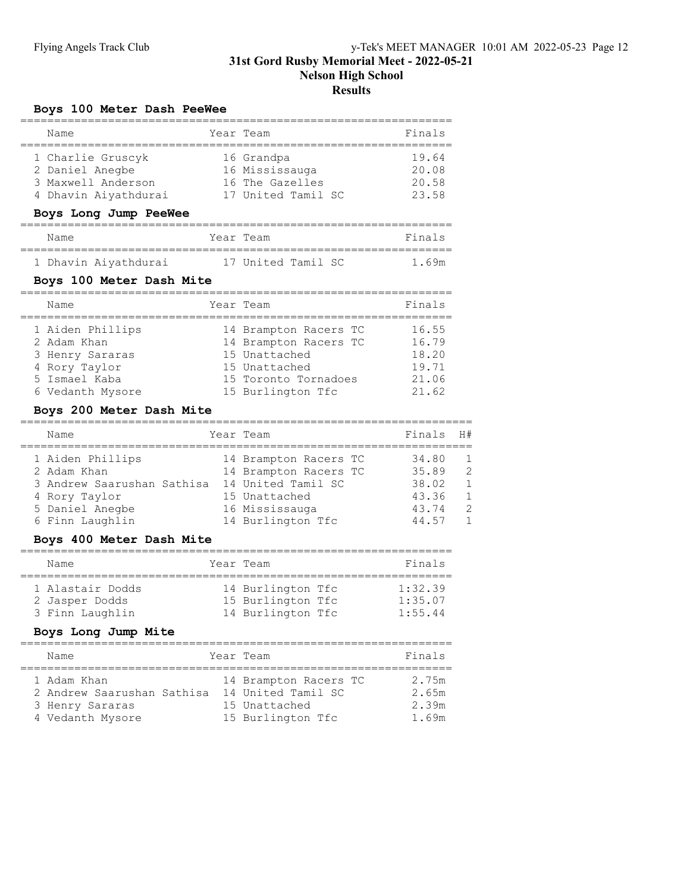## Boys 100 Meter Dash PeeWee

| Name                 | Year Team          | Finals |
|----------------------|--------------------|--------|
| 1 Charlie Gruscyk    | 16 Grandpa         | 19.64  |
| 2 Daniel Anegbe      | 16 Mississauga     | 20.08  |
| 3 Maxwell Anderson   | 16 The Gazelles    | 20.58  |
| 4 Dhavin Aiyathdurai | 17 United Tamil SC | 23.58  |

#### Boys Long Jump PeeWee

| Name |                      | Year Team          |  | Finals |
|------|----------------------|--------------------|--|--------|
|      | 1 Dhavin Aiyathdurai | 17 United Tamil SC |  | 1 69m  |

## Boys 100 Meter Dash Mite

| Name             | Year Team             | Finals |
|------------------|-----------------------|--------|
| 1 Aiden Phillips | 14 Brampton Racers TC | 16.55  |
| 2 Adam Khan      | 14 Brampton Racers TC | 16.79  |
| 3 Henry Sararas  | 15 Unattached         | 18.20  |
| 4 Rory Taylor    | 15 Unattached         | 19.71  |
| 5 Ismael Kaba    | 15 Toronto Tornadoes  | 21.06  |
| 6 Vedanth Mysore | 15 Burlington Tfc     | 21.62  |

#### Boys 200 Meter Dash Mite

| Name                       | Year Team             | Finals | H#             |
|----------------------------|-----------------------|--------|----------------|
| 1 Aiden Phillips           | 14 Brampton Racers TC | 34.80  | $\overline{1}$ |
| 2 Adam Khan                | 14 Brampton Racers TC | 35.89  | $\mathcal{L}$  |
| 3 Andrew Saarushan Sathisa | 14 United Tamil SC    | 38.02  | $\overline{1}$ |
| 4 Rory Taylor              | 15 Unattached         | 43.36  | $\overline{1}$ |
| 5 Daniel Anegbe            | 16 Mississauga        | 43.74  | $\mathcal{L}$  |
| 6 Finn Laughlin            | 14 Burlington Tfc     | 44.57  | $\mathbf{1}$   |

## Boys 400 Meter Dash Mite

| Name                               | Year Team                              | Finals             |
|------------------------------------|----------------------------------------|--------------------|
| 1 Alastair Dodds<br>2 Jasper Dodds | 14 Burlington Tfc<br>15 Burlington Tfc | 1:32.39<br>1:35.07 |
| 3 Finn Laughlin                    | 14 Burlington Tfc                      | 1:55.44            |

## Boys Long Jump Mite

| Name                                                                             | Year Team                                                                         | Finals                           |
|----------------------------------------------------------------------------------|-----------------------------------------------------------------------------------|----------------------------------|
| 1 Adam Khan<br>2 Andrew Saarushan Sathisa<br>3 Henry Sararas<br>4 Vedanth Mysore | 14 Brampton Racers TC<br>14 United Tamil SC<br>15 Unattached<br>15 Burlington Tfc | 2.75m<br>2.65m<br>2.39m<br>1.69m |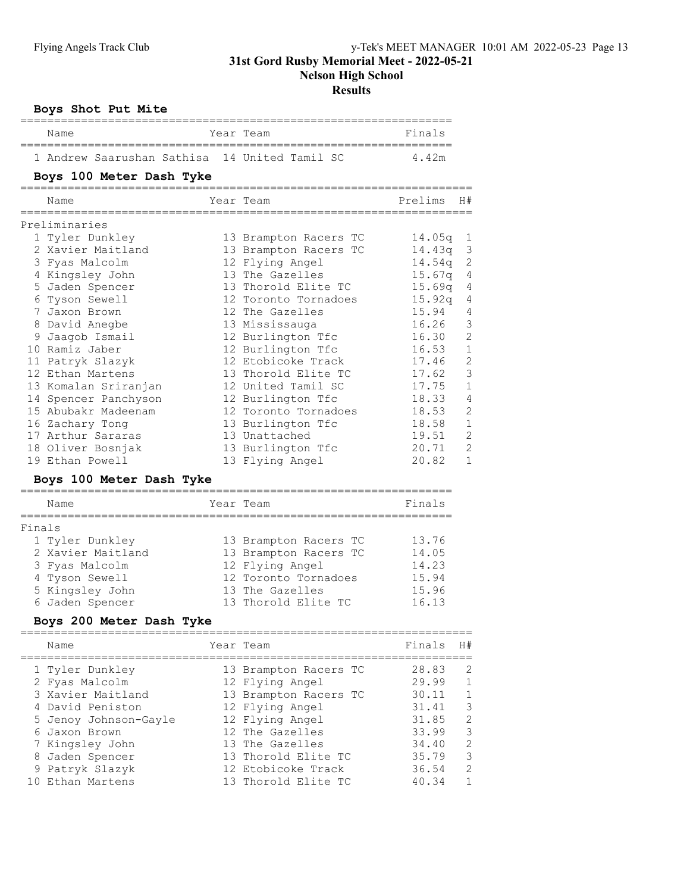Nelson High School

#### Results

|  | Boys Shot Put Mite |  |  |  |
|--|--------------------|--|--|--|
|--|--------------------|--|--|--|

|        | Name                                                                                                                                                                                                                                                                                                                     | Year Team                                                                                                                                                                                                                                                                                                                                               | Finals                                                                                                                                             |                                                                                                                                                              |
|--------|--------------------------------------------------------------------------------------------------------------------------------------------------------------------------------------------------------------------------------------------------------------------------------------------------------------------------|---------------------------------------------------------------------------------------------------------------------------------------------------------------------------------------------------------------------------------------------------------------------------------------------------------------------------------------------------------|----------------------------------------------------------------------------------------------------------------------------------------------------|--------------------------------------------------------------------------------------------------------------------------------------------------------------|
|        | 1 Andrew Saarushan Sathisa                                                                                                                                                                                                                                                                                               | 14 United Tamil SC                                                                                                                                                                                                                                                                                                                                      | 4.42m                                                                                                                                              |                                                                                                                                                              |
|        | Boys 100 Meter Dash Tyke                                                                                                                                                                                                                                                                                                 |                                                                                                                                                                                                                                                                                                                                                         |                                                                                                                                                    |                                                                                                                                                              |
|        | Name                                                                                                                                                                                                                                                                                                                     | Year Team                                                                                                                                                                                                                                                                                                                                               | Prelims                                                                                                                                            | H#                                                                                                                                                           |
|        | Preliminaries                                                                                                                                                                                                                                                                                                            |                                                                                                                                                                                                                                                                                                                                                         |                                                                                                                                                    |                                                                                                                                                              |
|        | 1 Tyler Dunkley<br>2 Xavier Maitland<br>3 Fyas Malcolm<br>4 Kingsley John<br>5 Jaden Spencer<br>6 Tyson Sewell<br>7 Jaxon Brown<br>8 David Anegbe<br>9 Jaagob Ismail<br>10 Ramiz Jaber<br>11 Patryk Slazyk<br>12 Ethan Martens<br>13 Komalan Sriranjan<br>14 Spencer Panchyson<br>15 Abubakr Madeenam<br>16 Zachary Tong | 13 Brampton Racers TC<br>13 Brampton Racers TC<br>12 Flying Angel<br>13 The Gazelles<br>13 Thorold Elite TC<br>12 Toronto Tornadoes<br>12 The Gazelles<br>13 Mississauga<br>12 Burlington Tfc<br>12 Burlington Tfc<br>12 Etobicoke Track<br>13 Thorold Elite TC<br>12 United Tamil SC<br>12 Burlington Tfc<br>12 Toronto Tornadoes<br>13 Burlington Tfc | 14.05q<br>14.43q<br>14.54q<br>15.67q<br>15.69q<br>15.92q<br>15.94<br>16.26<br>16.30<br>16.53<br>17.46<br>17.62<br>17.75<br>18.33<br>18.53<br>18.58 | 1<br>3<br>$\mathbf{2}$<br>4<br>4<br>4<br>4<br>3<br>$\overline{c}$<br>$\mathbf 1$<br>$\overline{c}$<br>3<br>$\mathbf 1$<br>4<br>$\overline{c}$<br>$\mathbf 1$ |
|        | 17 Arthur Sararas<br>18 Oliver Bosnjak                                                                                                                                                                                                                                                                                   | 13 Unattached<br>13 Burlington Tfc                                                                                                                                                                                                                                                                                                                      | 19.51<br>20.71                                                                                                                                     | $\overline{c}$<br>$\overline{c}$                                                                                                                             |
|        | 19 Ethan Powell<br>Boys 100 Meter Dash Tyke                                                                                                                                                                                                                                                                              | 13 Flying Angel                                                                                                                                                                                                                                                                                                                                         | 20.82                                                                                                                                              | $\mathbf{1}$                                                                                                                                                 |
|        | Name                                                                                                                                                                                                                                                                                                                     | Year Team                                                                                                                                                                                                                                                                                                                                               | Finals                                                                                                                                             |                                                                                                                                                              |
| Finals | 1 Tyler Dunkley<br>2 Xavier Maitland<br>3 Fyas Malcolm<br>4 Tyson Sewell<br>5 Kingsley John<br>6 Jaden Spencer<br>Boys 200 Meter Dash Tyke                                                                                                                                                                               | 13 Brampton Racers TC<br>13 Brampton Racers TC<br>12 Flying Angel<br>12 Toronto Tornadoes<br>13 The Gazelles<br>13 Thorold Elite TC                                                                                                                                                                                                                     | 13.76<br>14.05<br>14.23<br>15.94<br>15.96<br>16.13                                                                                                 |                                                                                                                                                              |
|        | ___________________________________<br>Name                                                                                                                                                                                                                                                                              | ==========================<br>Year Team                                                                                                                                                                                                                                                                                                                 | Finals                                                                                                                                             | H#                                                                                                                                                           |
|        | 1 Tyler Dunkley<br>2 Fyas Malcolm                                                                                                                                                                                                                                                                                        | 13 Brampton Racers TC<br>12 Flying Angel                                                                                                                                                                                                                                                                                                                | 28.83<br>2999                                                                                                                                      | $\overline{2}$<br>$\overline{1}$                                                                                                                             |

| 1 Tyler Dunkley       | 13 Brampton Racers TC | 28.83 | 2              |
|-----------------------|-----------------------|-------|----------------|
| 2 Fyas Malcolm        | 12 Flying Angel       | 29.99 | $\mathbf{1}$   |
| 3 Xavier Maitland     | 13 Brampton Racers TC | 30.11 |                |
| 4 David Peniston      | 12 Flying Angel       | 31.41 | 3              |
| 5 Jenoy Johnson-Gayle | 12 Flying Angel       | 31.85 | 2              |
| 6 Jaxon Brown         | 12 The Gazelles       | 33.99 | 3              |
| 7 Kingsley John       | 13 The Gazelles       | 34.40 | 2              |
| 8 Jaden Spencer       | 13 Thorold Elite TC   | 35.79 | 3              |
| 9 Patryk Slazyk       | 12 Etobicoke Track    | 36.54 | 2              |
| 10 Ethan Martens      | 13 Thorold Elite TC   | 40.34 | $\overline{1}$ |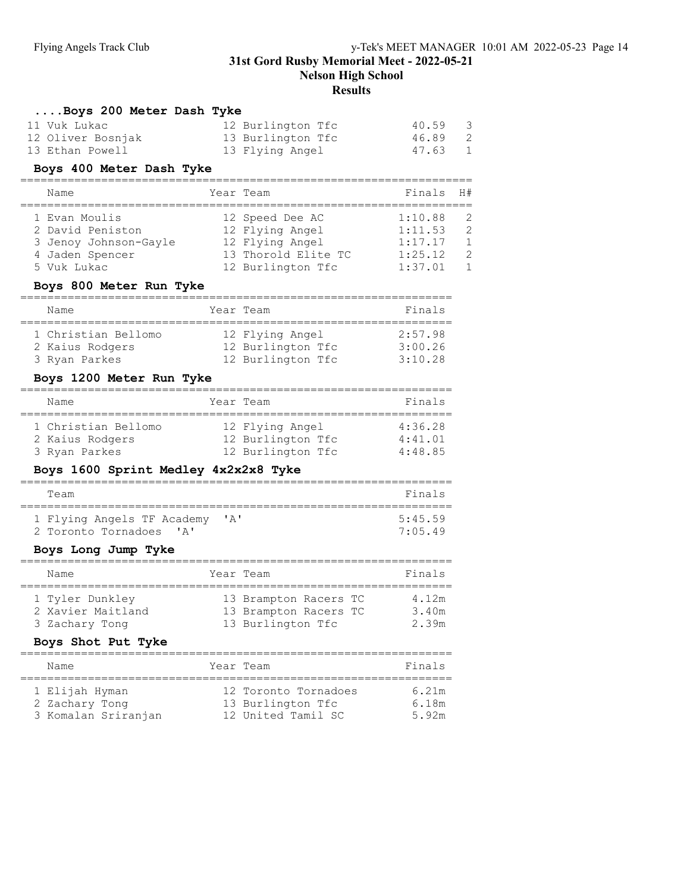## 31st Gord Rusby Memorial Meet - 2022-05-21 Nelson High School

# Results

#### ....Boys 200 Meter Dash Tyke

| 11 Vuk Lukac      | 12 Burlington Tfc | 40.59 3 |  |
|-------------------|-------------------|---------|--|
| 12 Oliver Bosnjak | 13 Burlington Tfc | 46.89 2 |  |
| 13 Ethan Powell   | 13 Flying Angel   | 47.63 1 |  |

## Boys 400 Meter Dash Tyke

| Name                  | Year Team           | Finals H# |               |
|-----------------------|---------------------|-----------|---------------|
| 1 Evan Moulis         | 12 Speed Dee AC     | 1:10.88   | - 2           |
|                       |                     |           |               |
| 2 David Peniston      | 12 Flying Angel     | 1:11.53   | $\mathcal{L}$ |
| 3 Jenoy Johnson-Gayle | 12 Flying Angel     | 1:17.17   | $\mathbf{1}$  |
| 4 Jaden Spencer       | 13 Thorold Elite TC | 1:25.12   | $\mathcal{L}$ |
| 5 Vuk Lukac           | 12 Burlington Tfc   | 1:37.01   |               |

#### Boys 800 Meter Run Tyke

| Name                                   |  | Year Team                            | Finals             |  |  |  |
|----------------------------------------|--|--------------------------------------|--------------------|--|--|--|
| 1 Christian Bellomo<br>2 Kaius Rodgers |  | 12 Flying Angel<br>12 Burlington Tfc | 2:57.98<br>3:00.26 |  |  |  |
| 3 Ryan Parkes                          |  | 12 Burlington Tfc                    | 3:10.28            |  |  |  |

#### Boys 1200 Meter Run Tyke

| Name                                                    | Year Team                                                 | Finals                        |
|---------------------------------------------------------|-----------------------------------------------------------|-------------------------------|
| 1 Christian Bellomo<br>2 Kaius Rodgers<br>3 Ryan Parkes | 12 Flying Angel<br>12 Burlington Tfc<br>12 Burlington Tfc | 4:36.28<br>4:41.01<br>4:48.85 |

## Boys 1600 Sprint Medley 4x2x2x8 Tyke

| Team                                                              |                                | Finals            |
|-------------------------------------------------------------------|--------------------------------|-------------------|
| 1 Flying Angels TF Academy<br>2 Toronto Tornadoes<br>$\mathsf{L}$ | $\mathsf{I} \wedge \mathsf{I}$ | 5.45 59<br>7.0549 |

#### Boys Long Jump Tyke

| Name                                 | Year Team                                      | Finals         |
|--------------------------------------|------------------------------------------------|----------------|
| 1 Tyler Dunkley<br>2 Xavier Maitland | 13 Brampton Racers TC<br>13 Brampton Racers TC | 4.12m<br>3.40m |
| 3 Zachary Tong                       | 13 Burlington Tfc                              | 2.39m          |

#### Boys Shot Put Tyke

| Name                                                    | Year Team                                                       | Finals                  |
|---------------------------------------------------------|-----------------------------------------------------------------|-------------------------|
| 1 Elijah Hyman<br>2 Zachary Tong<br>3 Komalan Sriranjan | 12 Toronto Tornadoes<br>13 Burlington Tfc<br>12 United Tamil SC | 6.21m<br>6.18m<br>5.92m |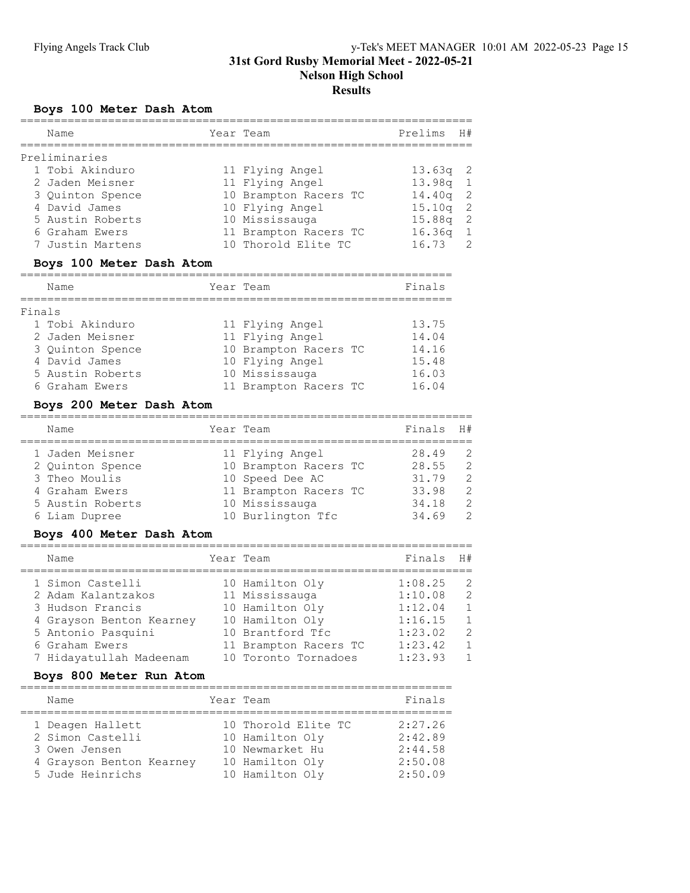# Boys 100 Meter Dash Atom

| Name             | Year Team             | Prelims H#         |                |
|------------------|-----------------------|--------------------|----------------|
| Preliminaries    |                       |                    |                |
| 1 Tobi Akinduro  | 11 Flying Angel       | $13.63q$ 2         |                |
| 2 Jaden Meisner  | 11 Flying Angel       | $13.98q$ 1         |                |
| 3 Quinton Spence | 10 Brampton Racers TC | $14.40q$ 2         |                |
| 4 David James    | 10 Flying Angel       | 15.10 <sub>q</sub> | - 2            |
| 5 Austin Roberts | 10 Mississauga        | 15.88q             | - 2            |
| 6 Graham Ewers   | 11 Brampton Racers TC | 16.36q             | $\overline{1}$ |
| 7 Justin Martens | 10 Thorold Elite TC   | 16.73              | $\overline{2}$ |
|                  |                       |                    |                |

## Boys 100 Meter Dash Atom

|        | Name             | Year Team |                       | Finals |
|--------|------------------|-----------|-----------------------|--------|
| Finals |                  |           |                       |        |
|        | 1 Tobi Akinduro  |           | 11 Flying Angel       | 13.75  |
|        | 2 Jaden Meisner  |           | 11 Flying Angel       | 14.04  |
|        | 3 Ouinton Spence |           | 10 Brampton Racers TC | 14.16  |
|        | 4 David James    |           | 10 Flying Angel       | 15.48  |
|        | 5 Austin Roberts |           | 10 Mississauga        | 16.03  |
|        | 6 Graham Ewers   |           | 11 Brampton Racers TC | 16.04  |

## Boys 200 Meter Dash Atom

| Name             | Year Team             | Finals H# |               |
|------------------|-----------------------|-----------|---------------|
| 1 Jaden Meisner  | 11 Flying Angel       | 28.49     | -2            |
| 2 Quinton Spence | 10 Brampton Racers TC | 28.55     | $\mathcal{L}$ |
| 3 Theo Moulis    | 10 Speed Dee AC       | 31.79     | $\mathcal{L}$ |
| 4 Graham Ewers   | 11 Brampton Racers TC | 33.98     | 2             |
| 5 Austin Roberts | 10 Mississauga        | 34.18     | 2             |
| 6 Liam Dupree    | 10 Burlington Tfc     | 34.69     | $\mathcal{P}$ |

## Boys 400 Meter Dash Atom

| Name                     | Year Team             | Finals  | H#             |
|--------------------------|-----------------------|---------|----------------|
| 1 Simon Castelli         | 10 Hamilton Oly       | 1:08.25 | 2              |
| 2 Adam Kalantzakos       | 11 Mississauga        | 1:10.08 | 2              |
| 3 Hudson Francis         | 10 Hamilton Oly       | 1:12.04 | $\mathbf{1}$   |
| 4 Grayson Benton Kearney | 10 Hamilton Oly       | 1:16.15 | $\overline{1}$ |
| 5 Antonio Pasquini       | 10 Brantford Tfc      | 1:23.02 | 2              |
| 6 Graham Ewers           | 11 Brampton Racers TC | 1:23.42 | $\overline{1}$ |
| 7 Hidayatullah Madeenam  | 10 Toronto Tornadoes  | 1:23.93 | $\mathbf{1}$   |

## Boys 800 Meter Run Atom

| Name                                                                                                  | Year Team                                                                                       | Finals                                              |
|-------------------------------------------------------------------------------------------------------|-------------------------------------------------------------------------------------------------|-----------------------------------------------------|
| 1 Deagen Hallett<br>2 Simon Castelli<br>3 Owen Jensen<br>4 Grayson Benton Kearney<br>5 Jude Heinrichs | 10 Thorold Elite TC<br>10 Hamilton Oly<br>10 Newmarket Hu<br>10 Hamilton Oly<br>10 Hamilton Oly | 2:27.26<br>2:42.89<br>2:44.58<br>2:50.08<br>2:50.09 |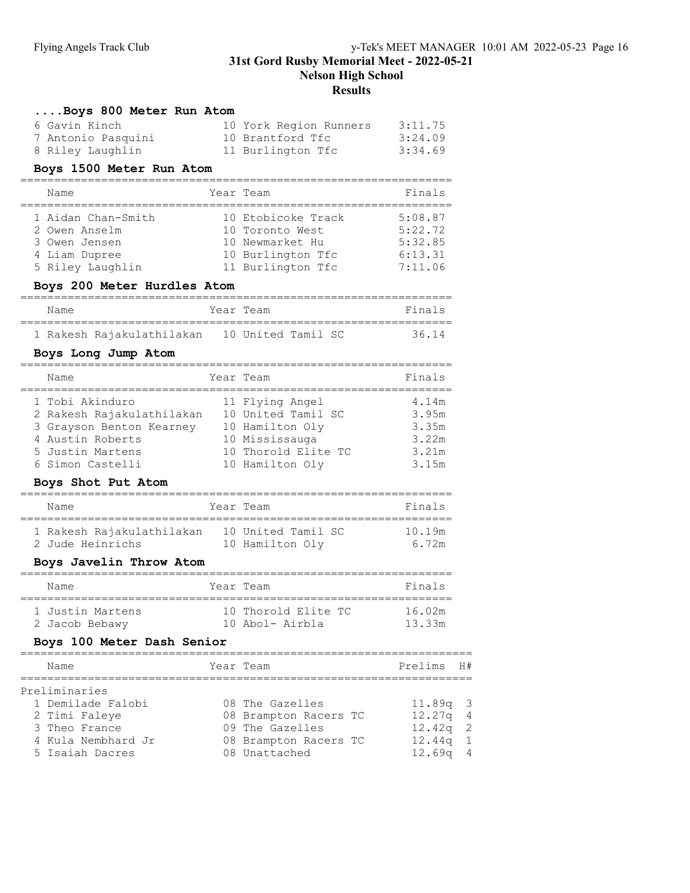Nelson High School

## **Results**

| Boys 800 Meter Run Atom                                                |                               |         |    |
|------------------------------------------------------------------------|-------------------------------|---------|----|
| 6 Gavin Kinch                                                          | 10 York Region Runners        | 3:11.75 |    |
| 7 Antonio Pasquini                                                     | 10 Brantford Tfc              | 3:24.09 |    |
| 8 Riley Laughlin                                                       | 11 Burlington Tfc             | 3:34.69 |    |
| Boys 1500 Meter Run Atom                                               |                               |         |    |
| Name                                                                   | Year Team                     | Finals  |    |
|                                                                        |                               |         |    |
| 1 Aidan Chan-Smith                                                     | 10 Etobicoke Track            | 5:08.87 |    |
| 2 Owen Anselm                                                          | 10 Toronto West               | 5:22.72 |    |
| 3 Owen Jensen                                                          | 10 Newmarket Hu               | 5:32.85 |    |
| 4 Liam Dupree                                                          | 10 Burlington Tfc             | 6:13.31 |    |
| 5 Riley Laughlin 11 Burlington Tfc                                     |                               | 7:11.06 |    |
| Boys 200 Meter Hurdles Atom                                            |                               |         |    |
| Name                                                                   | Year Team                     | Finals  |    |
| 1 Rakesh Rajakulathilakan 10 United Tamil SC                           |                               | 36.14   |    |
| Boys Long Jump Atom                                                    |                               |         |    |
| Name                                                                   | Year Team                     | Finals  |    |
| 1 Tobi Akinduro                                                        | 11 Flying Angel               | 4.14m   |    |
| 2 Rakesh Rajakulathilakan 10 United Tamil SC                           |                               | 3.95m   |    |
| 3 Grayson Benton Kearney 10 Hamilton Oly                               |                               | 3.35m   |    |
| 4 Austin Roberts                                                       | 10 Mississauga                | 3.22m   |    |
| 5 Justin Martens                                                       | 10 Thorold Elite TC           | 3.21m   |    |
| 6 Simon Castelli                                                       | 10 Hamilton Oly               | 3.15m   |    |
| Boys Shot Put Atom<br>===============================                  | .============================ |         |    |
| Name                                                                   | Year Team                     | Finals  |    |
| 1 Rakesh Rajakulathilakan 10 United Tamil SC                           |                               | 10.19m  |    |
| 2 Jude Heinrichs                                                       | 10 Hamilton Oly               | 6.72m   |    |
| Boys Javelin Throw Atom<br>=========================<br>============== | :====================         |         |    |
| Name                                                                   | Year Team                     | Finals  |    |
| 1 Justin Martens 10 Thorold Elite TC 16.02m                            |                               |         |    |
| 2 Jacob Bebawy                                                         | 10 Abol- Airbla               | 13.33m  |    |
| Boys 100 Meter Dash Senior                                             |                               |         |    |
| Name                                                                   | Year Team                     | Prelims | H# |
| Preliminaries                                                          |                               |         |    |
| 1 Demilade Falobi                                                      | 08 The Gazelles               | 11.89q  | З  |
| 2 Timi Faleye                                                          | 08 Brampton Racers TC         | 12.27q  | 4  |
| 3 Theo France                                                          | 09 The Gazelles               | 12.42q  | 2  |
| 4 Kula Nembhard Jr                                                     | 08 Brampton Racers TC         | 12.44q  | 1  |
| 5 Isaiah Dacres                                                        | 08 Unattached                 | 12.69q  | 4  |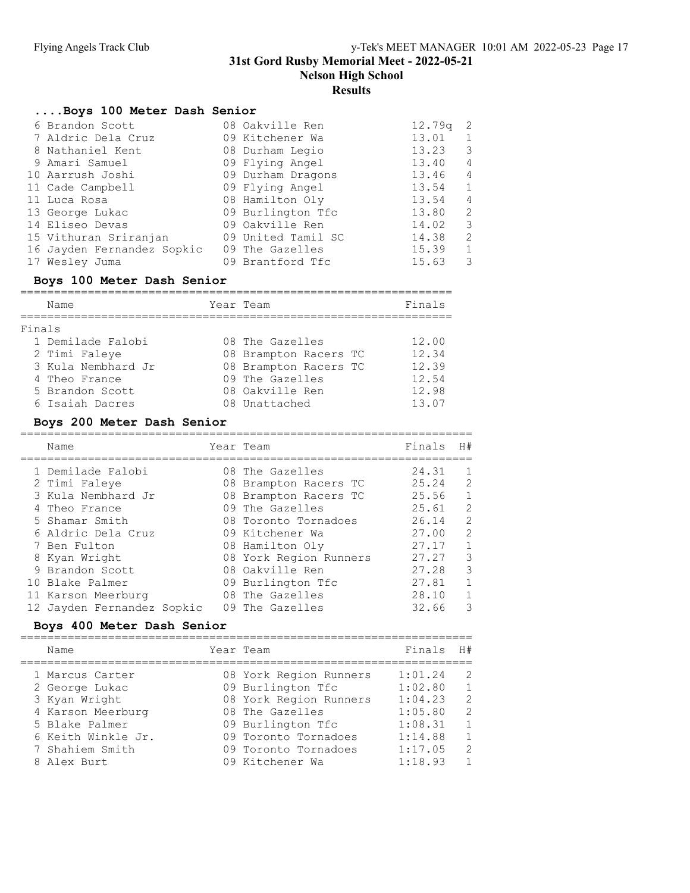Nelson High School

#### Results

## ....Boys 100 Meter Dash Senior

| 6 Brandon Scott            | 08 Oakville Ren    | 12.79q | -2            |
|----------------------------|--------------------|--------|---------------|
| 7 Aldric Dela Cruz         | 09 Kitchener Wa    | 13.01  |               |
| 8 Nathaniel Kent           | 08 Durham Legio    | 13.23  | 3             |
| 9 Amari Samuel             | 09 Flying Angel    | 13.40  | 4             |
| 10 Aarrush Joshi           | 09 Durham Dragons  | 13.46  | 4             |
| 11 Cade Campbell           | 09 Flying Angel    | 13.54  | 1             |
| 11 Luca Rosa               | 08 Hamilton Oly    | 13.54  | 4             |
| 13 George Lukac            | 09 Burlington Tfc  | 13.80  | $\mathcal{L}$ |
| 14 Eliseo Devas            | 09 Oakville Ren    | 14.02  | 3             |
| 15 Vithuran Sriranjan      | 09 United Tamil SC | 14.38  | 2             |
| 16 Jayden Fernandez Sopkic | 09 The Gazelles    | 15.39  | $\mathbf{1}$  |
| 17 Wesley Juma             | 09 Brantford Tfc   | 15.63  | 3             |

## Boys 100 Meter Dash Senior

|        | Name               | Year Team             | Finals |
|--------|--------------------|-----------------------|--------|
| Finals |                    |                       |        |
|        | 1 Demilade Falobi  | 08 The Gazelles       | 12.00  |
|        | 2 Timi Faleye      | 08 Brampton Racers TC | 12.34  |
|        | 3 Kula Nembhard Jr | 08 Brampton Racers TC | 12.39  |
|        | 4 Theo France      | 09 The Gazelles       | 12.54  |
|        | 5 Brandon Scott    | 08 Oakville Ren       | 12.98  |
|        | 6 Isaiah Dacres    | 08 Unattached         | 13.07  |

## Boys 200 Meter Dash Senior

| Name                       | Year Team              | Finals | H#             |
|----------------------------|------------------------|--------|----------------|
| 1 Demilade Falobi          | 08 The Gazelles        | 24.31  | -1             |
| 2 Timi Faleye              | 08 Brampton Racers TC  | 25.24  | 2              |
| 3 Kula Nembhard Jr         | 08 Brampton Racers TC  | 25.56  | $\overline{1}$ |
| 4 Theo France              | 09 The Gazelles        | 25.61  | 2              |
| 5 Shamar Smith             | 08 Toronto Tornadoes   | 26.14  | 2              |
| 6 Aldric Dela Cruz         | 09 Kitchener Wa        | 27.00  | 2              |
| 7 Ben Fulton               | 08 Hamilton Oly        | 27.17  | $\mathbf{1}$   |
| 8 Kyan Wright              | 08 York Region Runners | 27.27  | 3              |
| 9 Brandon Scott            | 08 Oakville Ren        | 27.28  | 3              |
| 10 Blake Palmer            | 09 Burlington Tfc      | 27.81  | $\overline{1}$ |
| 11 Karson Meerburg         | 08 The Gazelles        | 28.10  |                |
| 12 Jayden Fernandez Sopkic | 09 The Gazelles        | 32.66  | 3              |

## Boys 400 Meter Dash Senior

| Name               | Year Team              | Finals  | H#             |
|--------------------|------------------------|---------|----------------|
| 1 Marcus Carter    | 08 York Region Runners | 1:01.24 | 2              |
| 2 George Lukac     | 09 Burlington Tfc      | 1:02.80 | $\mathbf{1}$   |
| 3 Kyan Wright      | 08 York Region Runners | 1:04.23 | 2              |
| 4 Karson Meerburg  | 08 The Gazelles        | 1:05.80 | 2              |
| 5 Blake Palmer     | 09 Burlington Tfc      | 1:08.31 |                |
| 6 Keith Winkle Jr. | 09 Toronto Tornadoes   | 1:14.88 | $\overline{1}$ |
| 7 Shahiem Smith    | 09 Toronto Tornadoes   | 1:17.05 | 2              |
| 8 Alex Burt        | 09 Kitchener Wa        | 1:18.93 | $\overline{1}$ |
|                    |                        |         |                |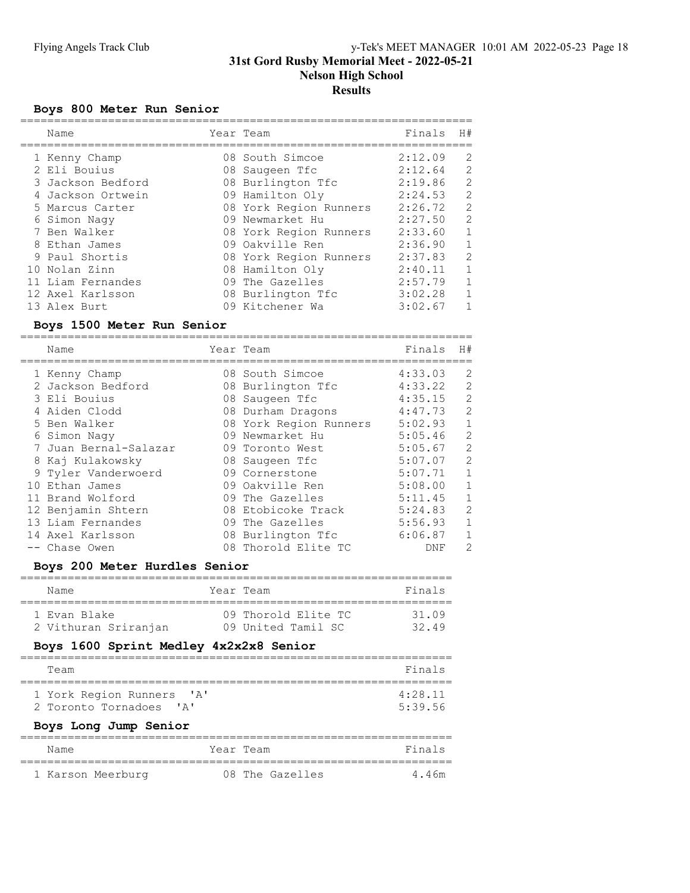## Boys 800 Meter Run Senior

| Name              | Year Team              | Finals  | H#           |
|-------------------|------------------------|---------|--------------|
| 1 Kenny Champ     | 08 South Simcoe        | 2:12.09 | 2            |
| 2 Eli Bouius      | 08 Saugeen Tfc         | 2:12.64 | 2            |
| 3 Jackson Bedford | 08 Burlington Tfc      | 2:19.86 | 2            |
| 4 Jackson Ortwein | 09 Hamilton Oly        | 2:24.53 | 2            |
| 5 Marcus Carter   | 08 York Region Runners | 2:26.72 | 2            |
| 6 Simon Nagy      | 09 Newmarket Hu        | 2:27.50 | 2            |
| 7 Ben Walker      | 08 York Region Runners | 2:33.60 | $\mathbf{1}$ |
| 8 Ethan James     | 09 Oakville Ren        | 2:36.90 | 1            |
| 9 Paul Shortis    | 08 York Region Runners | 2:37.83 | 2            |
| 10 Nolan Zinn     | 08 Hamilton Oly        | 2:40.11 | $\mathbf{1}$ |
| 11 Liam Fernandes | 09 The Gazelles        | 2:57.79 | $\mathbf{1}$ |
| 12 Axel Karlsson  | 08 Burlington Tfc      | 3:02.28 | $\mathbf{1}$ |
| 13 Alex Burt      | 09 Kitchener Wa        | 3:02.67 |              |
|                   |                        |         |              |

## Boys 1500 Meter Run Senior

| Name                  | Year Team              | Finals  | H#           |
|-----------------------|------------------------|---------|--------------|
| 1 Kenny Champ         | 08 South Simcoe        | 4:33.03 | 2            |
| 2 Jackson Bedford     | 08 Burlington Tfc      | 4:33.22 | 2            |
| 3 Eli Bouius          | 08 Saugeen Tfc         | 4:35.15 | 2            |
| 4 Aiden Clodd         | 08 Durham Dragons      | 4:47.73 | 2            |
| 5 Ben Walker          | 08 York Region Runners | 5:02.93 | $\mathbf{1}$ |
| 6 Simon Naqy          | 09 Newmarket Hu        | 5:05.46 | 2            |
| 7 Juan Bernal-Salazar | 09 Toronto West        | 5:05.67 | 2            |
| 8 Kaj Kulakowsky      | 08 Saugeen Tfc         | 5:07.07 | 2            |
| 9 Tyler Vanderwoerd   | 09 Cornerstone         | 5:07.71 | $\mathbf{1}$ |
| 10 Ethan James        | 09 Oakville Ren        | 5:08.00 | $\mathbf{1}$ |
| 11 Brand Wolford      | 09 The Gazelles        | 5:11.45 | $\mathbf{1}$ |
| 12 Benjamin Shtern    | 08 Etobicoke Track     | 5:24.83 | 2            |
| 13 Liam Fernandes     | 09 The Gazelles        | 5:56.93 | 1            |
| 14 Axel Karlsson      | 08 Burlington Tfc      | 6:06.87 | $\mathbf{1}$ |
| Chase Owen            | 08 Thorold Elite TC    | DNF     | 2            |

## Boys 200 Meter Hurdles Senior

| Name                 | Year Team          |                     | Finals |
|----------------------|--------------------|---------------------|--------|
| 1 Evan Blake         |                    | 09 Thorold Elite TC | 31 09  |
| 2 Vithuran Sriranjan | 09 United Tamil SC |                     | 3249   |

# Boys 1600 Sprint Medley 4x2x2x8 Senior

| Team                                           | Finals  |
|------------------------------------------------|---------|
|                                                |         |
| 1 York Region Runners<br>$\mathsf{A}$          | 4:28.11 |
| 2 Toronto Tornadoes<br>$\mathsf{I} \mathbb{A}$ | 5:39.56 |
|                                                |         |

# Boys Long Jump Senior

| Name              | Year Team       | Finals |
|-------------------|-----------------|--------|
| 1 Karson Meerburg | 08 The Gazelles | 4 46m  |